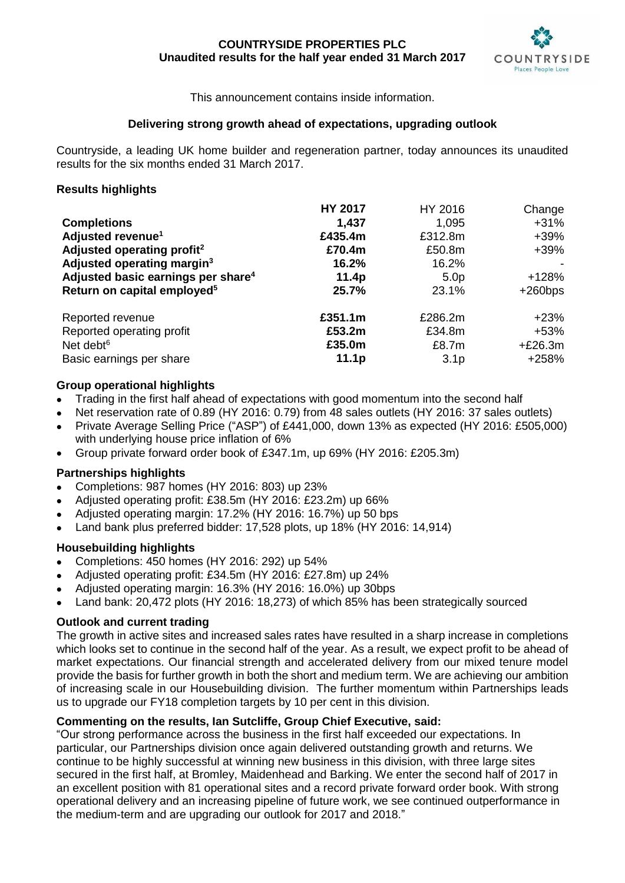

This announcement contains inside information.

# **Delivering strong growth ahead of expectations, upgrading outlook**

Countryside, a leading UK home builder and regeneration partner, today announces its unaudited results for the six months ended 31 March 2017.

# **Results highlights**

|                                                | <b>HY 2017</b>    | HY 2016          | Change    |
|------------------------------------------------|-------------------|------------------|-----------|
| <b>Completions</b>                             | 1,437             | 1,095            | $+31%$    |
| Adjusted revenue <sup>1</sup>                  | £435.4m           | £312.8m          | $+39%$    |
| Adjusted operating profit <sup>2</sup>         | £70.4m            | £50.8m           | $+39%$    |
| Adjusted operating margin <sup>3</sup>         | 16.2%             | 16.2%            |           |
| Adjusted basic earnings per share <sup>4</sup> | 11.4p             | 5.0 <sub>p</sub> | $+128%$   |
| Return on capital employed <sup>5</sup>        | 25.7%             | 23.1%            | $+260bps$ |
| Reported revenue                               | £351.1m           | £286.2m          | $+23%$    |
| Reported operating profit                      | £53.2m            | £34.8m           | $+53%$    |
| Net debt $6$                                   | £35.0m            | £8.7m            | $+£26.3m$ |
| Basic earnings per share                       | 11.1 <sub>p</sub> | 3.1 <sub>p</sub> | +258%     |

# **Group operational highlights**

- Trading in the first half ahead of expectations with good momentum into the second half
- Net reservation rate of 0.89 (HY 2016: 0.79) from 48 sales outlets (HY 2016: 37 sales outlets)
- Private Average Selling Price ("ASP") of £441,000, down 13% as expected (HY 2016: £505,000) with underlying house price inflation of 6%
- Group private forward order book of £347.1m, up 69% (HY 2016: £205.3m)

# **Partnerships highlights**

- Completions: 987 homes (HY 2016: 803) up 23%
- Adjusted operating profit: £38.5m (HY 2016: £23.2m) up 66%
- Adjusted operating margin: 17.2% (HY 2016: 16.7%) up 50 bps
- Land bank plus preferred bidder: 17,528 plots, up 18% (HY 2016: 14,914)

# **Housebuilding highlights**

- Completions: 450 homes (HY 2016: 292) up 54%
- Adjusted operating profit: £34.5m (HY 2016: £27.8m) up 24%
- Adjusted operating margin: 16.3% (HY 2016: 16.0%) up 30bps
- Land bank: 20,472 plots (HY 2016: 18,273) of which 85% has been strategically sourced

# **Outlook and current trading**

The growth in active sites and increased sales rates have resulted in a sharp increase in completions which looks set to continue in the second half of the year. As a result, we expect profit to be ahead of market expectations. Our financial strength and accelerated delivery from our mixed tenure model provide the basis for further growth in both the short and medium term. We are achieving our ambition of increasing scale in our Housebuilding division. The further momentum within Partnerships leads us to upgrade our FY18 completion targets by 10 per cent in this division.

# **Commenting on the results, Ian Sutcliffe, Group Chief Executive, said:**

"Our strong performance across the business in the first half exceeded our expectations. In particular, our Partnerships division once again delivered outstanding growth and returns. We continue to be highly successful at winning new business in this division, with three large sites secured in the first half, at Bromley, Maidenhead and Barking. We enter the second half of 2017 in an excellent position with 81 operational sites and a record private forward order book. With strong operational delivery and an increasing pipeline of future work, we see continued outperformance in the medium-term and are upgrading our outlook for 2017 and 2018."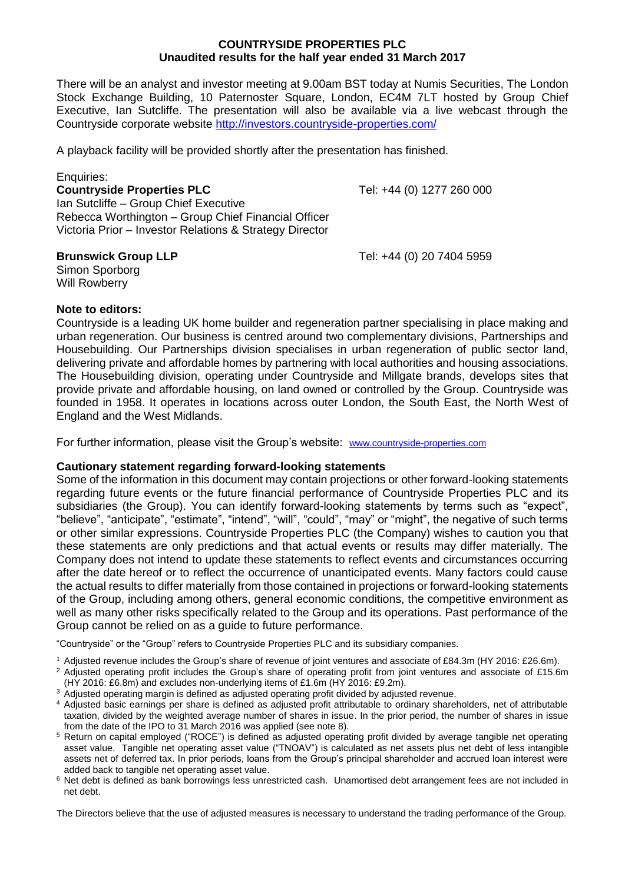There will be an analyst and investor meeting at 9.00am BST today at Numis Securities, The London Stock Exchange Building, 10 Paternoster Square, London, EC4M 7LT hosted by Group Chief Executive, Ian Sutcliffe. The presentation will also be available via a live webcast through the Countryside corporate website<http://investors.countryside-properties.com/>

A playback facility will be provided shortly after the presentation has finished.

Enquiries: **Countryside Properties PLC** Tel: +44 (0) 1277 260 000 Ian Sutcliffe – Group Chief Executive Rebecca Worthington – Group Chief Financial Officer Victoria Prior – Investor Relations & Strategy Director

**Brunswick Group LLP** Tel: +44 (0) 20 7404 5959

Simon Sporborg Will Rowberry

# **Note to editors:**

Countryside is a leading UK home builder and regeneration partner specialising in place making and urban regeneration. Our business is centred around two complementary divisions, Partnerships and Housebuilding. Our Partnerships division specialises in urban regeneration of public sector land, delivering private and affordable homes by partnering with local authorities and housing associations. The Housebuilding division, operating under Countryside and Millgate brands, develops sites that provide private and affordable housing, on land owned or controlled by the Group. Countryside was founded in 1958. It operates in locations across outer London, the South East, the North West of England and the West Midlands.

For further information, please visit the Group's website: [www.countryside-properties.com](http://www.countryside-properties.com/)

# **Cautionary statement regarding forward-looking statements**

Some of the information in this document may contain projections or other forward-looking statements regarding future events or the future financial performance of Countryside Properties PLC and its subsidiaries (the Group). You can identify forward-looking statements by terms such as "expect", "believe", "anticipate", "estimate", "intend", "will", "could", "may" or "might", the negative of such terms or other similar expressions. Countryside Properties PLC (the Company) wishes to caution you that these statements are only predictions and that actual events or results may differ materially. The Company does not intend to update these statements to reflect events and circumstances occurring after the date hereof or to reflect the occurrence of unanticipated events. Many factors could cause the actual results to differ materially from those contained in projections or forward-looking statements of the Group, including among others, general economic conditions, the competitive environment as well as many other risks specifically related to the Group and its operations. Past performance of the Group cannot be relied on as a guide to future performance.

"Countryside" or the "Group" refers to Countryside Properties PLC and its subsidiary companies.

<sup>1</sup> Adjusted revenue includes the Group's share of revenue of joint ventures and associate of £84.3m (HY 2016: £26.6m).

<sup>2</sup> Adjusted operating profit includes the Group's share of operating profit from joint ventures and associate of £15.6m (HY 2016: £6.8m) and excludes non-underlying items of £1.6m (HY 2016: £9.2m).

 $3$  Adjusted operating margin is defined as adjusted operating profit divided by adjusted revenue.

<sup>4</sup>Adjusted basic earnings per share is defined as adjusted profit attributable to ordinary shareholders, net of attributable taxation, divided by the weighted average number of shares in issue. In the prior period, the number of shares in issue from the date of the IPO to 31 March 2016 was applied (see note 8).

- <sup>5</sup> Return on capital employed ("ROCE") is defined as adjusted operating profit divided by average tangible net operating asset value. Tangible net operating asset value ("TNOAV") is calculated as net assets plus net debt of less intangible assets net of deferred tax. In prior periods, loans from the Group's principal shareholder and accrued loan interest were added back to tangible net operating asset value.
- <sup>6</sup> Net debt is defined as bank borrowings less unrestricted cash. Unamortised debt arrangement fees are not included in net debt.

The Directors believe that the use of adjusted measures is necessary to understand the trading performance of the Group.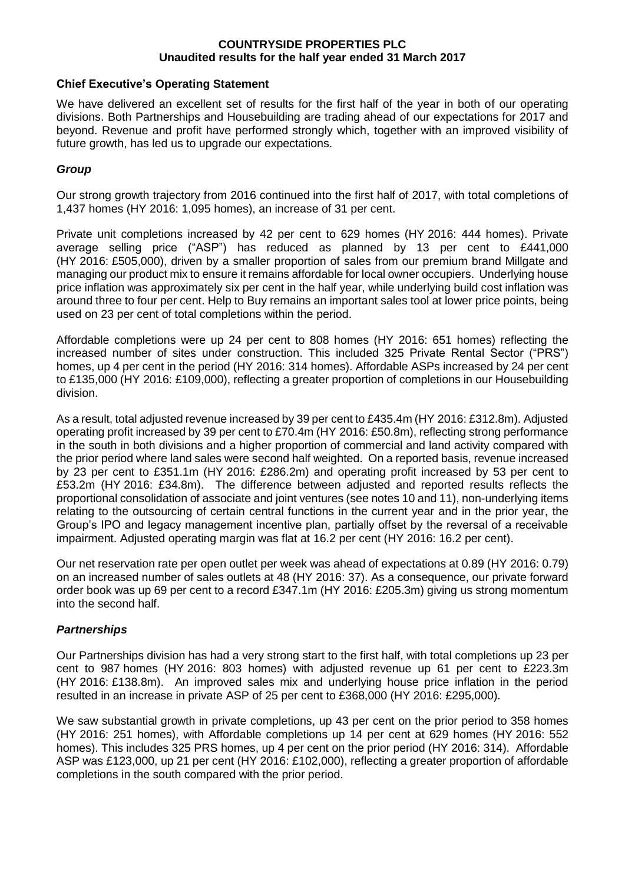# **Chief Executive's Operating Statement**

We have delivered an excellent set of results for the first half of the year in both of our operating divisions. Both Partnerships and Housebuilding are trading ahead of our expectations for 2017 and beyond. Revenue and profit have performed strongly which, together with an improved visibility of future growth, has led us to upgrade our expectations.

# *Group*

Our strong growth trajectory from 2016 continued into the first half of 2017, with total completions of 1,437 homes (HY 2016: 1,095 homes), an increase of 31 per cent.

Private unit completions increased by 42 per cent to 629 homes (HY 2016: 444 homes). Private average selling price ("ASP") has reduced as planned by 13 per cent to £441,000 (HY 2016: £505,000), driven by a smaller proportion of sales from our premium brand Millgate and managing our product mix to ensure it remains affordable for local owner occupiers. Underlying house price inflation was approximately six per cent in the half year, while underlying build cost inflation was around three to four per cent. Help to Buy remains an important sales tool at lower price points, being used on 23 per cent of total completions within the period.

Affordable completions were up 24 per cent to 808 homes (HY 2016: 651 homes) reflecting the increased number of sites under construction. This included 325 Private Rental Sector ("PRS") homes, up 4 per cent in the period (HY 2016: 314 homes). Affordable ASPs increased by 24 per cent to £135,000 (HY 2016: £109,000), reflecting a greater proportion of completions in our Housebuilding division.

As a result, total adjusted revenue increased by 39 per cent to £435.4m (HY 2016: £312.8m). Adjusted operating profit increased by 39 per cent to £70.4m (HY 2016: £50.8m), reflecting strong performance in the south in both divisions and a higher proportion of commercial and land activity compared with the prior period where land sales were second half weighted. On a reported basis, revenue increased by 23 per cent to £351.1m (HY 2016: £286.2m) and operating profit increased by 53 per cent to £53.2m (HY 2016: £34.8m). The difference between adjusted and reported results reflects the proportional consolidation of associate and joint ventures (see notes 10 and 11), non-underlying items relating to the outsourcing of certain central functions in the current year and in the prior year, the Group's IPO and legacy management incentive plan, partially offset by the reversal of a receivable impairment. Adjusted operating margin was flat at 16.2 per cent (HY 2016: 16.2 per cent).

Our net reservation rate per open outlet per week was ahead of expectations at 0.89 (HY 2016: 0.79) on an increased number of sales outlets at 48 (HY 2016: 37). As a consequence, our private forward order book was up 69 per cent to a record £347.1m (HY 2016: £205.3m) giving us strong momentum into the second half.

# *Partnerships*

Our Partnerships division has had a very strong start to the first half, with total completions up 23 per cent to 987 homes (HY 2016: 803 homes) with adjusted revenue up 61 per cent to £223.3m (HY 2016: £138.8m). An improved sales mix and underlying house price inflation in the period resulted in an increase in private ASP of 25 per cent to £368,000 (HY 2016: £295,000).

We saw substantial growth in private completions, up 43 per cent on the prior period to 358 homes (HY 2016: 251 homes), with Affordable completions up 14 per cent at 629 homes (HY 2016: 552 homes). This includes 325 PRS homes, up 4 per cent on the prior period (HY 2016: 314). Affordable ASP was £123,000, up 21 per cent (HY 2016: £102,000), reflecting a greater proportion of affordable completions in the south compared with the prior period.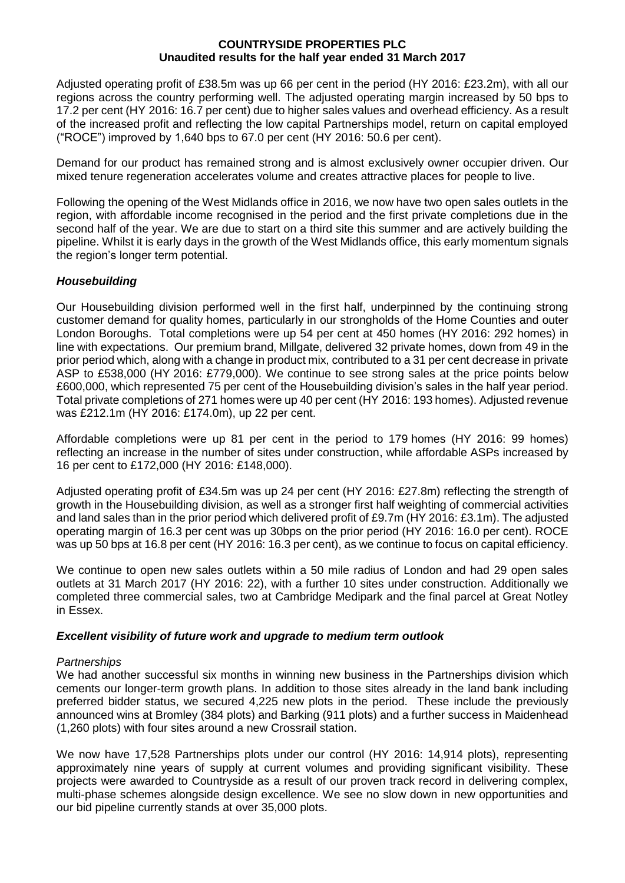Adjusted operating profit of £38.5m was up 66 per cent in the period (HY 2016: £23.2m), with all our regions across the country performing well. The adjusted operating margin increased by 50 bps to 17.2 per cent (HY 2016: 16.7 per cent) due to higher sales values and overhead efficiency. As a result of the increased profit and reflecting the low capital Partnerships model, return on capital employed ("ROCE") improved by 1,640 bps to 67.0 per cent (HY 2016: 50.6 per cent).

Demand for our product has remained strong and is almost exclusively owner occupier driven. Our mixed tenure regeneration accelerates volume and creates attractive places for people to live.

Following the opening of the West Midlands office in 2016, we now have two open sales outlets in the region, with affordable income recognised in the period and the first private completions due in the second half of the year. We are due to start on a third site this summer and are actively building the pipeline. Whilst it is early days in the growth of the West Midlands office, this early momentum signals the region's longer term potential.

# *Housebuilding*

Our Housebuilding division performed well in the first half, underpinned by the continuing strong customer demand for quality homes, particularly in our strongholds of the Home Counties and outer London Boroughs. Total completions were up 54 per cent at 450 homes (HY 2016: 292 homes) in line with expectations. Our premium brand, Millgate, delivered 32 private homes, down from 49 in the prior period which, along with a change in product mix, contributed to a 31 per cent decrease in private ASP to £538,000 (HY 2016: £779,000). We continue to see strong sales at the price points below £600,000, which represented 75 per cent of the Housebuilding division's sales in the half year period. Total private completions of 271 homes were up 40 per cent (HY 2016: 193 homes). Adjusted revenue was £212.1m (HY 2016: £174.0m), up 22 per cent.

Affordable completions were up 81 per cent in the period to 179 homes (HY 2016: 99 homes) reflecting an increase in the number of sites under construction, while affordable ASPs increased by 16 per cent to £172,000 (HY 2016: £148,000).

Adjusted operating profit of £34.5m was up 24 per cent (HY 2016: £27.8m) reflecting the strength of growth in the Housebuilding division, as well as a stronger first half weighting of commercial activities and land sales than in the prior period which delivered profit of £9.7m (HY 2016: £3.1m). The adjusted operating margin of 16.3 per cent was up 30bps on the prior period (HY 2016: 16.0 per cent). ROCE was up 50 bps at 16.8 per cent (HY 2016: 16.3 per cent), as we continue to focus on capital efficiency.

We continue to open new sales outlets within a 50 mile radius of London and had 29 open sales outlets at 31 March 2017 (HY 2016: 22), with a further 10 sites under construction. Additionally we completed three commercial sales, two at Cambridge Medipark and the final parcel at Great Notley in Essex.

# *Excellent visibility of future work and upgrade to medium term outlook*

# *Partnerships*

We had another successful six months in winning new business in the Partnerships division which cements our longer-term growth plans. In addition to those sites already in the land bank including preferred bidder status, we secured 4,225 new plots in the period. These include the previously announced wins at Bromley (384 plots) and Barking (911 plots) and a further success in Maidenhead (1,260 plots) with four sites around a new Crossrail station.

We now have 17,528 Partnerships plots under our control (HY 2016: 14,914 plots), representing approximately nine years of supply at current volumes and providing significant visibility. These projects were awarded to Countryside as a result of our proven track record in delivering complex, multi-phase schemes alongside design excellence. We see no slow down in new opportunities and our bid pipeline currently stands at over 35,000 plots.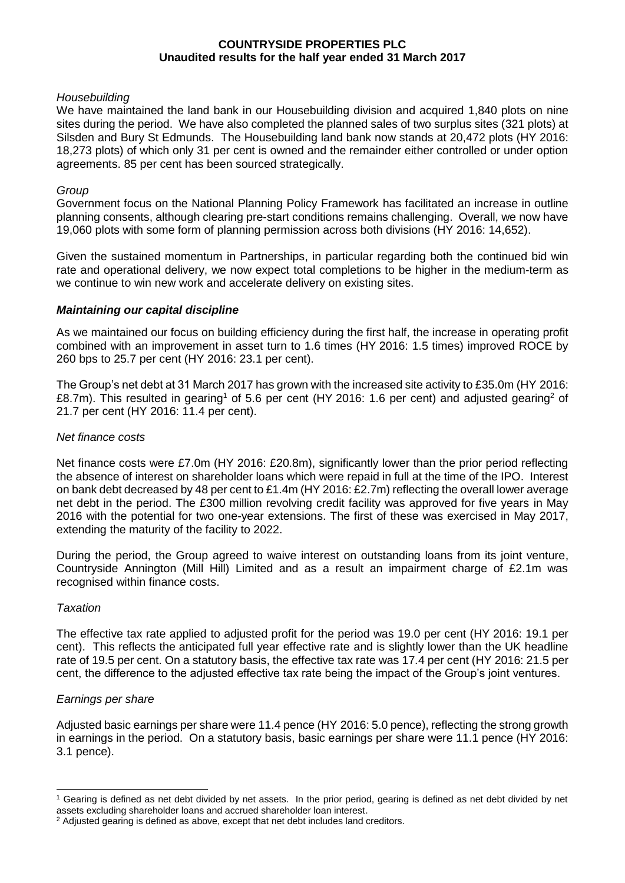# *Housebuilding*

We have maintained the land bank in our Housebuilding division and acquired 1,840 plots on nine sites during the period. We have also completed the planned sales of two surplus sites (321 plots) at Silsden and Bury St Edmunds. The Housebuilding land bank now stands at 20,472 plots (HY 2016: 18,273 plots) of which only 31 per cent is owned and the remainder either controlled or under option agreements. 85 per cent has been sourced strategically.

# *Group*

Government focus on the National Planning Policy Framework has facilitated an increase in outline planning consents, although clearing pre-start conditions remains challenging. Overall, we now have 19,060 plots with some form of planning permission across both divisions (HY 2016: 14,652).

Given the sustained momentum in Partnerships, in particular regarding both the continued bid win rate and operational delivery, we now expect total completions to be higher in the medium-term as we continue to win new work and accelerate delivery on existing sites.

# *Maintaining our capital discipline*

As we maintained our focus on building efficiency during the first half, the increase in operating profit combined with an improvement in asset turn to 1.6 times (HY 2016: 1.5 times) improved ROCE by 260 bps to 25.7 per cent (HY 2016: 23.1 per cent).

The Group's net debt at 31 March 2017 has grown with the increased site activity to £35.0m (HY 2016: £8.7m). This resulted in gearing<sup>1</sup> of 5.6 per cent (HY 2016: 1.6 per cent) and adjusted gearing<sup>2</sup> of 21.7 per cent (HY 2016: 11.4 per cent).

# *Net finance costs*

Net finance costs were £7.0m (HY 2016: £20.8m), significantly lower than the prior period reflecting the absence of interest on shareholder loans which were repaid in full at the time of the IPO. Interest on bank debt decreased by 48 per cent to £1.4m (HY 2016: £2.7m) reflecting the overall lower average net debt in the period. The £300 million revolving credit facility was approved for five years in May 2016 with the potential for two one-year extensions. The first of these was exercised in May 2017, extending the maturity of the facility to 2022.

During the period, the Group agreed to waive interest on outstanding loans from its joint venture, Countryside Annington (Mill Hill) Limited and as a result an impairment charge of £2.1m was recognised within finance costs.

# *Taxation*

l

The effective tax rate applied to adjusted profit for the period was 19.0 per cent (HY 2016: 19.1 per cent). This reflects the anticipated full year effective rate and is slightly lower than the UK headline rate of 19.5 per cent. On a statutory basis, the effective tax rate was 17.4 per cent (HY 2016: 21.5 per cent, the difference to the adjusted effective tax rate being the impact of the Group's joint ventures.

# *Earnings per share*

Adjusted basic earnings per share were 11.4 pence (HY 2016: 5.0 pence), reflecting the strong growth in earnings in the period. On a statutory basis, basic earnings per share were 11.1 pence (HY 2016: 3.1 pence).

<sup>1</sup> Gearing is defined as net debt divided by net assets. In the prior period, gearing is defined as net debt divided by net assets excluding shareholder loans and accrued shareholder loan interest.

<sup>&</sup>lt;sup>2</sup> Adjusted gearing is defined as above, except that net debt includes land creditors.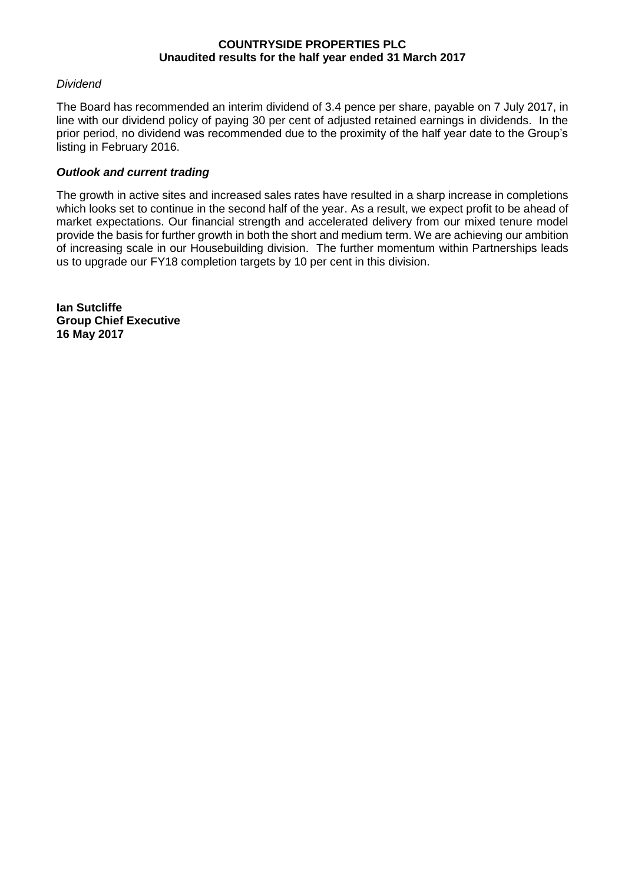# *Dividend*

The Board has recommended an interim dividend of 3.4 pence per share, payable on 7 July 2017, in line with our dividend policy of paying 30 per cent of adjusted retained earnings in dividends. In the prior period, no dividend was recommended due to the proximity of the half year date to the Group's listing in February 2016.

# *Outlook and current trading*

The growth in active sites and increased sales rates have resulted in a sharp increase in completions which looks set to continue in the second half of the year. As a result, we expect profit to be ahead of market expectations. Our financial strength and accelerated delivery from our mixed tenure model provide the basis for further growth in both the short and medium term. We are achieving our ambition of increasing scale in our Housebuilding division. The further momentum within Partnerships leads us to upgrade our FY18 completion targets by 10 per cent in this division.

**Ian Sutcliffe Group Chief Executive 16 May 2017**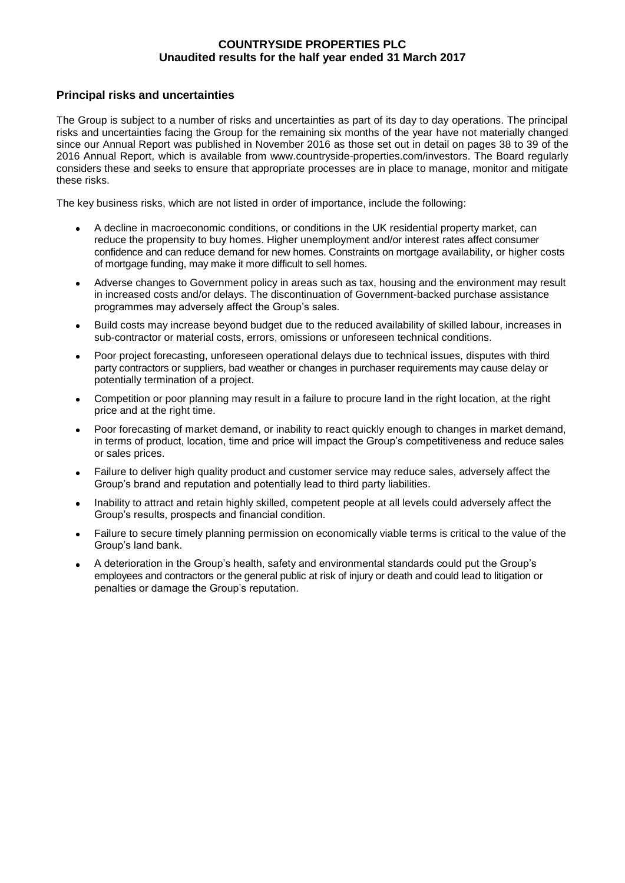# **Principal risks and uncertainties**

The Group is subject to a number of risks and uncertainties as part of its day to day operations. The principal risks and uncertainties facing the Group for the remaining six months of the year have not materially changed since our Annual Report was published in November 2016 as those set out in detail on pages 38 to 39 of the 2016 Annual Report, which is available from www.countryside-properties.com/investors. The Board regularly considers these and seeks to ensure that appropriate processes are in place to manage, monitor and mitigate these risks.

The key business risks, which are not listed in order of importance, include the following:

- A decline in macroeconomic conditions, or conditions in the UK residential property market, can reduce the propensity to buy homes. Higher unemployment and/or interest rates affect consumer confidence and can reduce demand for new homes. Constraints on mortgage availability, or higher costs of mortgage funding, may make it more difficult to sell homes.
- Adverse changes to Government policy in areas such as tax, housing and the environment may result in increased costs and/or delays. The discontinuation of Government-backed purchase assistance programmes may adversely affect the Group's sales.
- Build costs may increase beyond budget due to the reduced availability of skilled labour, increases in sub-contractor or material costs, errors, omissions or unforeseen technical conditions.
- Poor project forecasting, unforeseen operational delays due to technical issues, disputes with third party contractors or suppliers, bad weather or changes in purchaser requirements may cause delay or potentially termination of a project.
- Competition or poor planning may result in a failure to procure land in the right location, at the right price and at the right time.
- Poor forecasting of market demand, or inability to react quickly enough to changes in market demand, in terms of product, location, time and price will impact the Group's competitiveness and reduce sales or sales prices.
- Failure to deliver high quality product and customer service may reduce sales, adversely affect the Group's brand and reputation and potentially lead to third party liabilities.
- Inability to attract and retain highly skilled, competent people at all levels could adversely affect the Group's results, prospects and financial condition.
- Failure to secure timely planning permission on economically viable terms is critical to the value of the Group's land bank.
- A deterioration in the Group's health, safety and environmental standards could put the Group's employees and contractors or the general public at risk of injury or death and could lead to litigation or penalties or damage the Group's reputation.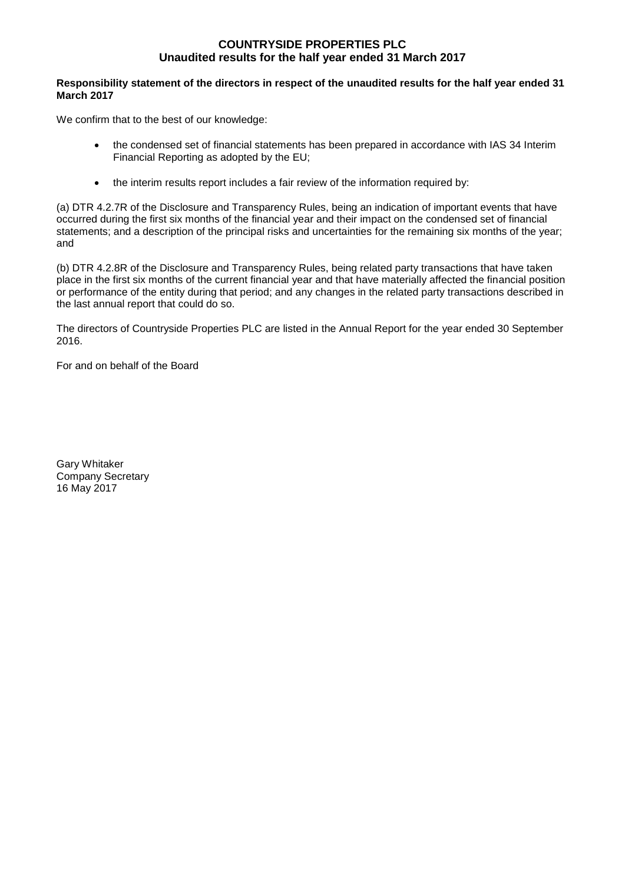## **Responsibility statement of the directors in respect of the unaudited results for the half year ended 31 March 2017**

We confirm that to the best of our knowledge:

- the condensed set of financial statements has been prepared in accordance with IAS 34 Interim Financial Reporting as adopted by the EU;
- the interim results report includes a fair review of the information required by:

(a) DTR 4.2.7R of the Disclosure and Transparency Rules, being an indication of important events that have occurred during the first six months of the financial year and their impact on the condensed set of financial statements; and a description of the principal risks and uncertainties for the remaining six months of the year; and

(b) DTR 4.2.8R of the Disclosure and Transparency Rules, being related party transactions that have taken place in the first six months of the current financial year and that have materially affected the financial position or performance of the entity during that period; and any changes in the related party transactions described in the last annual report that could do so.

The directors of Countryside Properties PLC are listed in the Annual Report for the year ended 30 September 2016.

For and on behalf of the Board

Gary Whitaker Company Secretary 16 May 2017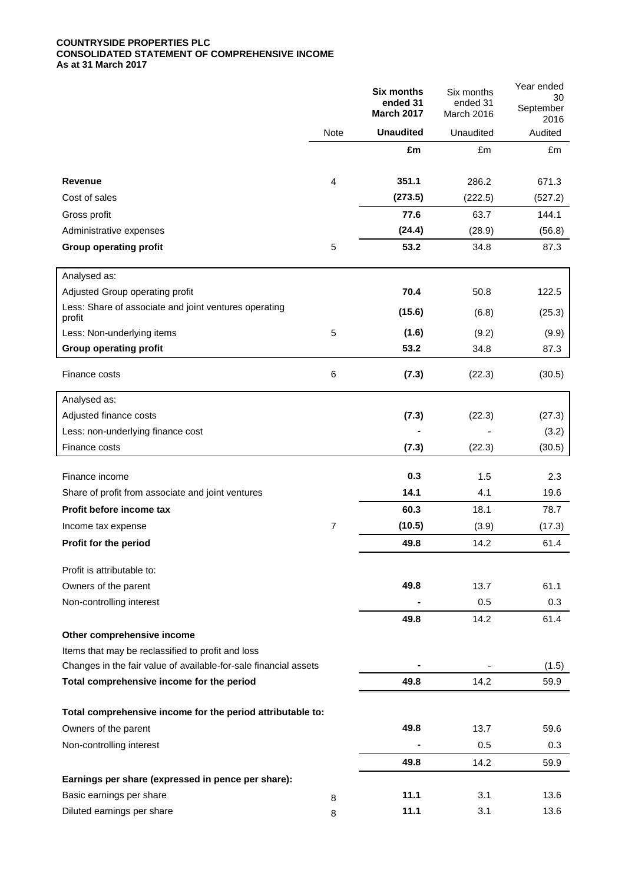## **COUNTRYSIDE PROPERTIES PLC CONSOLIDATED STATEMENT OF COMPREHENSIVE INCOME As at 31 March 2017**

|                                                                  |                | <b>Six months</b><br>ended 31<br><b>March 2017</b> | Six months<br>ended 31<br>March 2016 | Year ended<br>30<br>September<br>2016 |
|------------------------------------------------------------------|----------------|----------------------------------------------------|--------------------------------------|---------------------------------------|
|                                                                  | Note           | <b>Unaudited</b>                                   | Unaudited                            | Audited                               |
|                                                                  |                | £m                                                 | £m                                   | £m                                    |
| <b>Revenue</b>                                                   | 4              | 351.1                                              | 286.2                                | 671.3                                 |
| Cost of sales                                                    |                | (273.5)                                            | (222.5)                              | (527.2)                               |
| Gross profit                                                     |                | 77.6                                               | 63.7                                 | 144.1                                 |
| Administrative expenses                                          |                | (24.4)                                             | (28.9)                               | (56.8)                                |
| <b>Group operating profit</b>                                    | $\mathbf 5$    | 53.2                                               | 34.8                                 | 87.3                                  |
| Analysed as:                                                     |                |                                                    |                                      |                                       |
| Adjusted Group operating profit                                  |                | 70.4                                               | 50.8                                 | 122.5                                 |
| Less: Share of associate and joint ventures operating<br>profit  |                | (15.6)                                             | (6.8)                                | (25.3)                                |
| Less: Non-underlying items                                       | 5              | (1.6)                                              | (9.2)                                | (9.9)                                 |
| <b>Group operating profit</b>                                    |                | 53.2                                               | 34.8                                 | 87.3                                  |
| Finance costs                                                    | 6              | (7.3)                                              | (22.3)                               | (30.5)                                |
| Analysed as:                                                     |                |                                                    |                                      |                                       |
| Adjusted finance costs                                           |                | (7.3)                                              | (22.3)                               | (27.3)                                |
| Less: non-underlying finance cost                                |                |                                                    |                                      | (3.2)                                 |
| Finance costs                                                    |                | (7.3)                                              | (22.3)                               | (30.5)                                |
| Finance income                                                   |                | 0.3                                                | 1.5                                  | 2.3                                   |
| Share of profit from associate and joint ventures                |                | 14.1                                               | 4.1                                  | 19.6                                  |
| Profit before income tax                                         |                | 60.3                                               | 18.1                                 | 78.7                                  |
| Income tax expense                                               | $\overline{7}$ | (10.5)                                             | (3.9)                                | (17.3)                                |
| Profit for the period                                            |                | 49.8                                               | 14.2                                 | 61.4                                  |
| Profit is attributable to:                                       |                |                                                    |                                      |                                       |
| Owners of the parent                                             |                | 49.8                                               | 13.7                                 | 61.1                                  |
| Non-controlling interest                                         |                |                                                    | 0.5                                  | 0.3                                   |
|                                                                  |                | 49.8                                               | 14.2                                 | 61.4                                  |
| Other comprehensive income                                       |                |                                                    |                                      |                                       |
| Items that may be reclassified to profit and loss                |                |                                                    |                                      |                                       |
| Changes in the fair value of available-for-sale financial assets |                | $\blacksquare$                                     |                                      | (1.5)                                 |
| Total comprehensive income for the period                        |                | 49.8                                               | 14.2                                 | 59.9                                  |
| Total comprehensive income for the period attributable to:       |                |                                                    |                                      |                                       |
| Owners of the parent                                             |                | 49.8                                               | 13.7                                 | 59.6                                  |
| Non-controlling interest                                         |                |                                                    | 0.5                                  | 0.3                                   |
|                                                                  |                | 49.8                                               | 14.2                                 | 59.9                                  |
| Earnings per share (expressed in pence per share):               |                |                                                    |                                      |                                       |
| Basic earnings per share                                         | 8              | 11.1                                               | 3.1                                  | 13.6                                  |
| Diluted earnings per share                                       | 8              | 11.1                                               | 3.1                                  | 13.6                                  |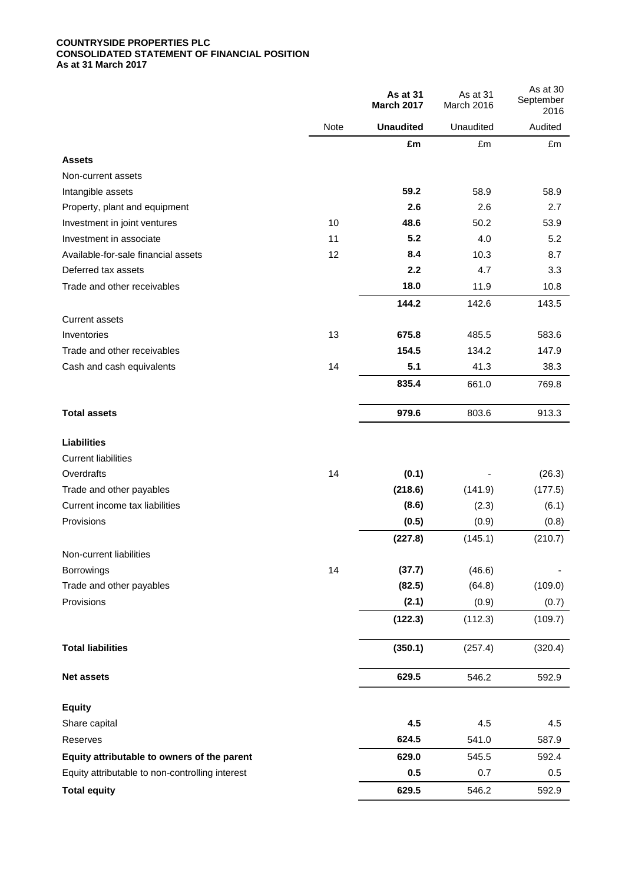## **COUNTRYSIDE PROPERTIES PLC CONSOLIDATED STATEMENT OF FINANCIAL POSITION As at 31 March 2017**

|                                                 |      | As at 31<br><b>March 2017</b> | As at 31<br>March 2016 | As at 30<br>September<br>2016 |
|-------------------------------------------------|------|-------------------------------|------------------------|-------------------------------|
|                                                 | Note | <b>Unaudited</b>              | Unaudited              | Audited                       |
|                                                 |      | £m                            | £m                     | £m                            |
| <b>Assets</b>                                   |      |                               |                        |                               |
| Non-current assets                              |      |                               |                        |                               |
| Intangible assets                               |      | 59.2                          | 58.9                   | 58.9                          |
| Property, plant and equipment                   |      | 2.6                           | 2.6                    | 2.7                           |
| Investment in joint ventures                    | 10   | 48.6                          | 50.2                   | 53.9                          |
| Investment in associate                         | 11   | 5.2                           | 4.0                    | 5.2                           |
| Available-for-sale financial assets             | 12   | 8.4                           | 10.3                   | 8.7                           |
| Deferred tax assets                             |      | 2.2                           | 4.7                    | 3.3                           |
| Trade and other receivables                     |      | 18.0                          | 11.9                   | 10.8                          |
|                                                 |      | 144.2                         | 142.6                  | 143.5                         |
| <b>Current assets</b>                           |      |                               |                        |                               |
| Inventories                                     | 13   | 675.8                         | 485.5                  | 583.6                         |
| Trade and other receivables                     |      | 154.5                         | 134.2                  | 147.9                         |
| Cash and cash equivalents                       | 14   | 5.1                           | 41.3                   | 38.3                          |
|                                                 |      | 835.4                         | 661.0                  | 769.8                         |
| <b>Total assets</b>                             |      | 979.6                         | 803.6                  | 913.3                         |
| <b>Liabilities</b>                              |      |                               |                        |                               |
| <b>Current liabilities</b>                      |      |                               |                        |                               |
| Overdrafts                                      | 14   | (0.1)                         |                        | (26.3)                        |
| Trade and other payables                        |      | (218.6)                       | (141.9)                | (177.5)                       |
| Current income tax liabilities                  |      | (8.6)                         | (2.3)                  | (6.1)                         |
| Provisions                                      |      | (0.5)                         | (0.9)                  | (0.8)                         |
|                                                 |      | (227.8)                       | (145.1)                | (210.7)                       |
| Non-current liabilities                         |      |                               |                        |                               |
| Borrowings                                      | 14   | (37.7)                        | (46.6)                 |                               |
| Trade and other payables                        |      | (82.5)                        | (64.8)                 | (109.0)                       |
| Provisions                                      |      | (2.1)                         | (0.9)                  | (0.7)                         |
|                                                 |      | (122.3)                       | (112.3)                | (109.7)                       |
| <b>Total liabilities</b>                        |      | (350.1)                       | (257.4)                | (320.4)                       |
| <b>Net assets</b>                               |      | 629.5                         | 546.2                  | 592.9                         |
| <b>Equity</b>                                   |      |                               |                        |                               |
| Share capital                                   |      | 4.5                           | 4.5                    | 4.5                           |
| Reserves                                        |      | 624.5                         | 541.0                  | 587.9                         |
| Equity attributable to owners of the parent     |      | 629.0                         | 545.5                  | 592.4                         |
| Equity attributable to non-controlling interest |      | 0.5                           | 0.7                    | 0.5                           |
| <b>Total equity</b>                             |      | 629.5                         | 546.2                  | 592.9                         |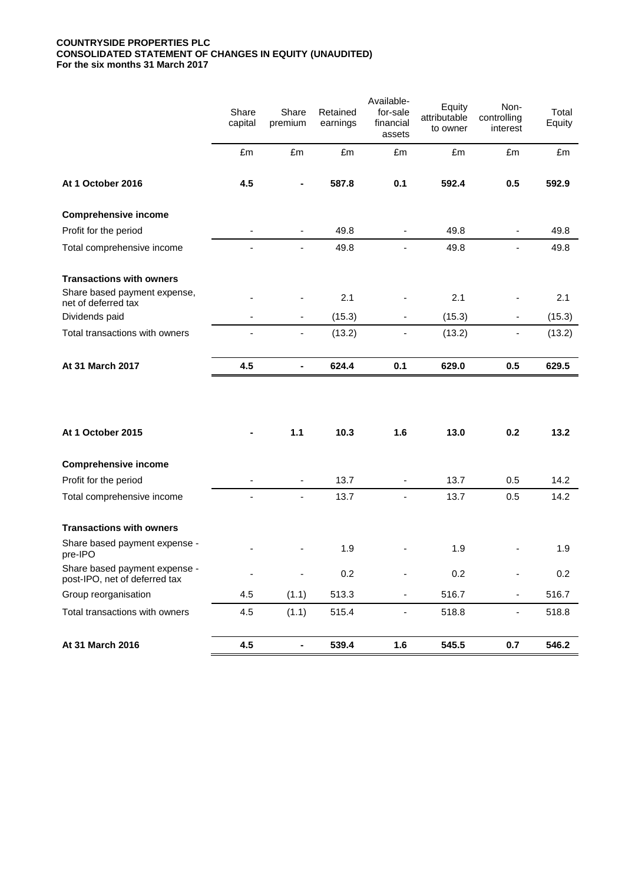## **COUNTRYSIDE PROPERTIES PLC CONSOLIDATED STATEMENT OF CHANGES IN EQUITY (UNAUDITED) For the six months 31 March 2017**

|                                                                | Share<br>capital | Share<br>premium             | Retained<br>earnings | Available-<br>for-sale<br>financial<br>assets | Equity<br>attributable<br>to owner | Non-<br>controlling<br>interest | Total<br>Equity |
|----------------------------------------------------------------|------------------|------------------------------|----------------------|-----------------------------------------------|------------------------------------|---------------------------------|-----------------|
|                                                                | £m               | £m                           | £m                   | £m                                            | £m                                 | £m                              | £m              |
| At 1 October 2016                                              | 4.5              |                              | 587.8                | 0.1                                           | 592.4                              | 0.5                             | 592.9           |
| <b>Comprehensive income</b>                                    |                  |                              |                      |                                               |                                    |                                 |                 |
| Profit for the period                                          |                  | $\overline{\phantom{0}}$     | 49.8                 |                                               | 49.8                               | ÷,                              | 49.8            |
| Total comprehensive income                                     |                  |                              | 49.8                 |                                               | 49.8                               |                                 | 49.8            |
| <b>Transactions with owners</b>                                |                  |                              |                      |                                               |                                    |                                 |                 |
| Share based payment expense,<br>net of deferred tax            |                  |                              | 2.1                  |                                               | 2.1                                |                                 | 2.1             |
| Dividends paid                                                 |                  | $\qquad \qquad \blacksquare$ | (15.3)               |                                               | (15.3)                             |                                 | (15.3)          |
| Total transactions with owners                                 |                  | $\overline{\phantom{0}}$     | (13.2)               |                                               | (13.2)                             | $\overline{\phantom{0}}$        | (13.2)          |
| At 31 March 2017                                               | 4.5              | $\blacksquare$               | 624.4                | 0.1                                           | 629.0                              | 0.5                             | 629.5           |
| At 1 October 2015                                              |                  | 1.1                          | 10.3                 | 1.6                                           | 13.0                               | 0.2                             | 13.2            |
| <b>Comprehensive income</b>                                    |                  |                              |                      |                                               |                                    |                                 |                 |
| Profit for the period                                          |                  | $\overline{\phantom{0}}$     | 13.7                 | $\blacksquare$                                | 13.7                               | 0.5                             | 14.2            |
| Total comprehensive income                                     |                  | $\frac{1}{2}$                | 13.7                 |                                               | 13.7                               | 0.5                             | 14.2            |
| <b>Transactions with owners</b>                                |                  |                              |                      |                                               |                                    |                                 |                 |
| Share based payment expense -<br>pre-IPO                       |                  |                              | 1.9                  |                                               | 1.9                                |                                 | 1.9             |
| Share based payment expense -<br>post-IPO, net of deferred tax | ٠                | $\frac{1}{2}$                | 0.2                  |                                               | 0.2                                |                                 | 0.2             |
| Group reorganisation                                           | 4.5              | (1.1)                        | 513.3                | $\overline{\phantom{0}}$                      | 516.7                              | $\overline{\phantom{0}}$        | 516.7           |
| Total transactions with owners                                 | 4.5              | (1.1)                        | 515.4                | $\blacksquare$                                | 518.8                              | $\overline{\phantom{a}}$        | 518.8           |
| At 31 March 2016                                               | 4.5              | $\blacksquare$               | 539.4                | 1.6                                           | 545.5                              | 0.7                             | 546.2           |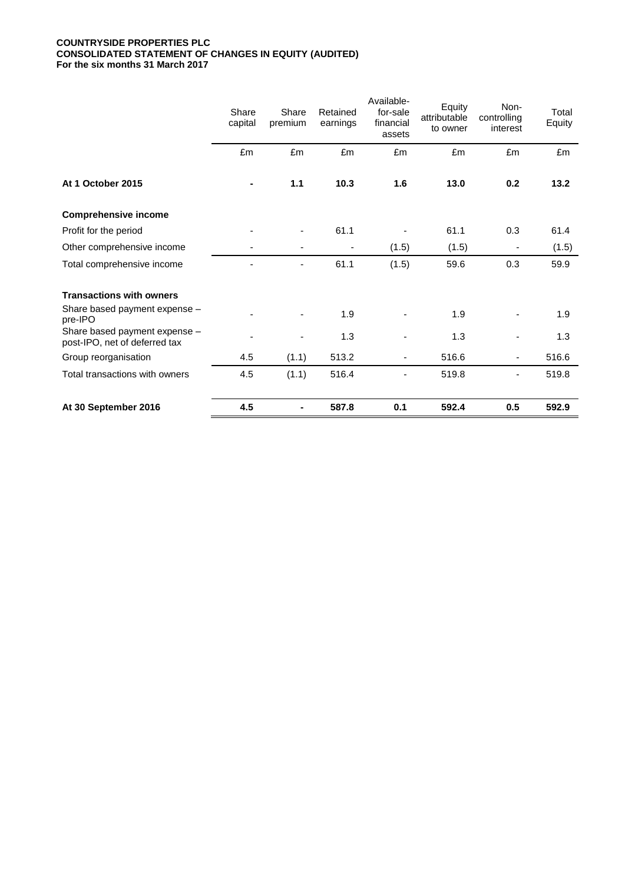## **COUNTRYSIDE PROPERTIES PLC CONSOLIDATED STATEMENT OF CHANGES IN EQUITY (AUDITED) For the six months 31 March 2017**

|                                                                | Share<br>capital | Share<br>premium | Retained<br>earnings | Available-<br>for-sale<br>financial<br>assets | Equity<br>attributable<br>to owner | Non-<br>controlling<br>interest | Total<br>Equity |
|----------------------------------------------------------------|------------------|------------------|----------------------|-----------------------------------------------|------------------------------------|---------------------------------|-----------------|
|                                                                | £m               | £m               | £m                   | £m                                            | £m                                 | £m                              | £m              |
| At 1 October 2015                                              |                  | 1.1              | 10.3                 | 1.6                                           | 13.0                               | 0.2                             | 13.2            |
| <b>Comprehensive income</b>                                    |                  |                  |                      |                                               |                                    |                                 |                 |
| Profit for the period                                          |                  |                  | 61.1                 |                                               | 61.1                               | 0.3                             | 61.4            |
| Other comprehensive income                                     |                  |                  |                      | (1.5)                                         | (1.5)                              |                                 | (1.5)           |
| Total comprehensive income                                     |                  |                  | 61.1                 | (1.5)                                         | 59.6                               | 0.3                             | 59.9            |
| <b>Transactions with owners</b>                                |                  |                  |                      |                                               |                                    |                                 |                 |
| Share based payment expense -<br>pre-IPO                       |                  |                  | 1.9                  |                                               | 1.9                                |                                 | 1.9             |
| Share based payment expense -<br>post-IPO, net of deferred tax |                  |                  | 1.3                  |                                               | 1.3                                |                                 | 1.3             |
| Group reorganisation                                           | 4.5              | (1.1)            | 513.2                |                                               | 516.6                              | ۰                               | 516.6           |
| Total transactions with owners                                 | 4.5              | (1.1)            | 516.4                |                                               | 519.8                              | ٠                               | 519.8           |
| At 30 September 2016                                           | 4.5              |                  | 587.8                | 0.1                                           | 592.4                              | 0.5                             | 592.9           |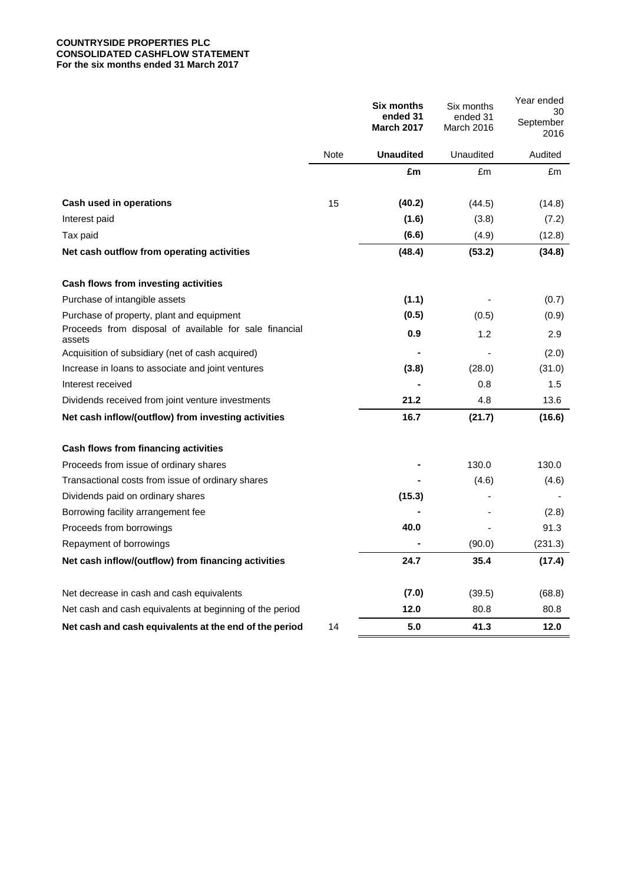## **COUNTRYSIDE PROPERTIES PLC CONSOLIDATED CASHFLOW STATEMENT For the six months ended 31 March 2017**

|                                                                  |      | <b>Six months</b><br>ended 31<br><b>March 2017</b> | Six months<br>ended 31<br>March 2016 | Year ended<br>30<br>September<br>2016 |
|------------------------------------------------------------------|------|----------------------------------------------------|--------------------------------------|---------------------------------------|
|                                                                  | Note | <b>Unaudited</b>                                   | Unaudited                            | Audited                               |
|                                                                  |      | £m                                                 | £m                                   | £m                                    |
| Cash used in operations                                          | 15   | (40.2)                                             | (44.5)                               | (14.8)                                |
| Interest paid                                                    |      | (1.6)                                              | (3.8)                                | (7.2)                                 |
| Tax paid                                                         |      | (6.6)                                              | (4.9)                                | (12.8)                                |
| Net cash outflow from operating activities                       |      | (48.4)                                             | (53.2)                               | (34.8)                                |
| Cash flows from investing activities                             |      |                                                    |                                      |                                       |
| Purchase of intangible assets                                    |      | (1.1)                                              |                                      | (0.7)                                 |
| Purchase of property, plant and equipment                        |      | (0.5)                                              | (0.5)                                | (0.9)                                 |
| Proceeds from disposal of available for sale financial<br>assets |      | 0.9                                                | 1.2                                  | 2.9                                   |
| Acquisition of subsidiary (net of cash acquired)                 |      |                                                    |                                      | (2.0)                                 |
| Increase in loans to associate and joint ventures                |      | (3.8)                                              | (28.0)                               | (31.0)                                |
| Interest received                                                |      |                                                    | 0.8                                  | 1.5                                   |
| Dividends received from joint venture investments                |      | 21.2                                               | 4.8                                  | 13.6                                  |
| Net cash inflow/(outflow) from investing activities              |      | 16.7                                               | (21.7)                               | (16.6)                                |
| Cash flows from financing activities                             |      |                                                    |                                      |                                       |
| Proceeds from issue of ordinary shares                           |      |                                                    | 130.0                                | 130.0                                 |
| Transactional costs from issue of ordinary shares                |      |                                                    | (4.6)                                | (4.6)                                 |
| Dividends paid on ordinary shares                                |      | (15.3)                                             |                                      |                                       |
| Borrowing facility arrangement fee                               |      |                                                    |                                      | (2.8)                                 |
| Proceeds from borrowings                                         |      | 40.0                                               |                                      | 91.3                                  |
| Repayment of borrowings                                          |      |                                                    | (90.0)                               | (231.3)                               |
| Net cash inflow/(outflow) from financing activities              |      | 24.7                                               | 35.4                                 | (17.4)                                |
| Net decrease in cash and cash equivalents                        |      | (7.0)                                              | (39.5)                               | (68.8)                                |
| Net cash and cash equivalents at beginning of the period         |      | 12.0                                               | 80.8                                 | 80.8                                  |
| Net cash and cash equivalents at the end of the period           | 14   | 5.0                                                | 41.3                                 | 12.0                                  |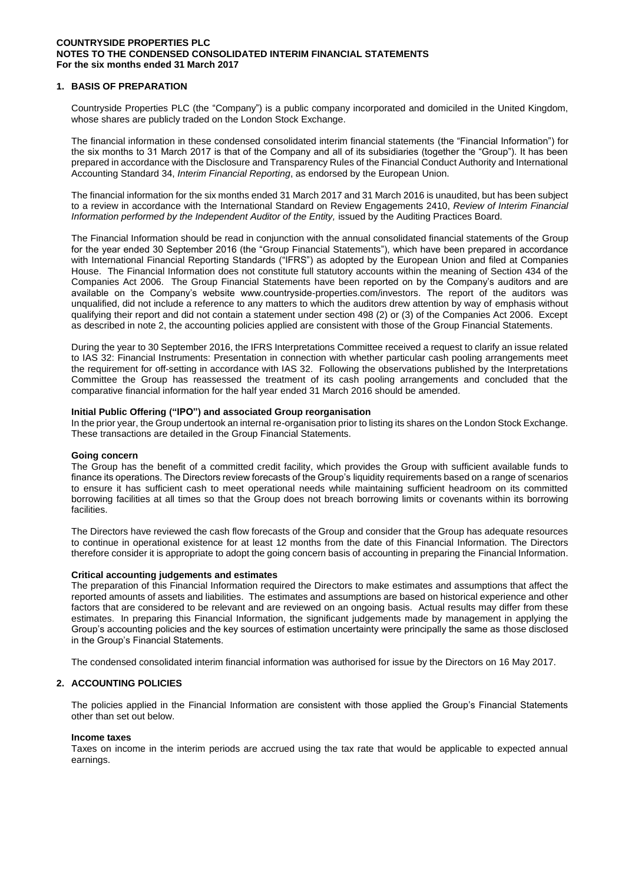## **1. BASIS OF PREPARATION**

Countryside Properties PLC (the "Company") is a public company incorporated and domiciled in the United Kingdom, whose shares are publicly traded on the London Stock Exchange.

The financial information in these condensed consolidated interim financial statements (the "Financial Information") for the six months to 31 March 2017 is that of the Company and all of its subsidiaries (together the "Group"). It has been prepared in accordance with the Disclosure and Transparency Rules of the Financial Conduct Authority and International Accounting Standard 34, *Interim Financial Reporting*, as endorsed by the European Union.

The financial information for the six months ended 31 March 2017 and 31 March 2016 is unaudited, but has been subject to a review in accordance with the International Standard on Review Engagements 2410, *Review of Interim Financial Information performed by the Independent Auditor of the Entity,* issued by the Auditing Practices Board.

The Financial Information should be read in conjunction with the annual consolidated financial statements of the Group for the year ended 30 September 2016 (the "Group Financial Statements"), which have been prepared in accordance with International Financial Reporting Standards ("IFRS") as adopted by the European Union and filed at Companies House. The Financial Information does not constitute full statutory accounts within the meaning of Section 434 of the Companies Act 2006. The Group Financial Statements have been reported on by the Company's auditors and are available on the Company's website www.countryside-properties.com/investors. The report of the auditors was unqualified, did not include a reference to any matters to which the auditors drew attention by way of emphasis without qualifying their report and did not contain a statement under section 498 (2) or (3) of the Companies Act 2006. Except as described in note 2, the accounting policies applied are consistent with those of the Group Financial Statements.

During the year to 30 September 2016, the IFRS Interpretations Committee received a request to clarify an issue related to IAS 32: Financial Instruments: Presentation in connection with whether particular cash pooling arrangements meet the requirement for off-setting in accordance with IAS 32. Following the observations published by the Interpretations Committee the Group has reassessed the treatment of its cash pooling arrangements and concluded that the comparative financial information for the half year ended 31 March 2016 should be amended.

#### **Initial Public Offering ("IPO") and associated Group reorganisation**

In the prior year, the Group undertook an internal re-organisation prior to listing its shares on the London Stock Exchange. These transactions are detailed in the Group Financial Statements.

#### **Going concern**

The Group has the benefit of a committed credit facility, which provides the Group with sufficient available funds to finance its operations. The Directors review forecasts of the Group's liquidity requirements based on a range of scenarios to ensure it has sufficient cash to meet operational needs while maintaining sufficient headroom on its committed borrowing facilities at all times so that the Group does not breach borrowing limits or covenants within its borrowing facilities.

The Directors have reviewed the cash flow forecasts of the Group and consider that the Group has adequate resources to continue in operational existence for at least 12 months from the date of this Financial Information. The Directors therefore consider it is appropriate to adopt the going concern basis of accounting in preparing the Financial Information.

#### **Critical accounting judgements and estimates**

The preparation of this Financial Information required the Directors to make estimates and assumptions that affect the reported amounts of assets and liabilities. The estimates and assumptions are based on historical experience and other factors that are considered to be relevant and are reviewed on an ongoing basis. Actual results may differ from these estimates. In preparing this Financial Information, the significant judgements made by management in applying the Group's accounting policies and the key sources of estimation uncertainty were principally the same as those disclosed in the Group's Financial Statements.

The condensed consolidated interim financial information was authorised for issue by the Directors on 16 May 2017.

## **2. ACCOUNTING POLICIES**

The policies applied in the Financial Information are consistent with those applied the Group's Financial Statements other than set out below.

#### **Income taxes**

Taxes on income in the interim periods are accrued using the tax rate that would be applicable to expected annual earnings.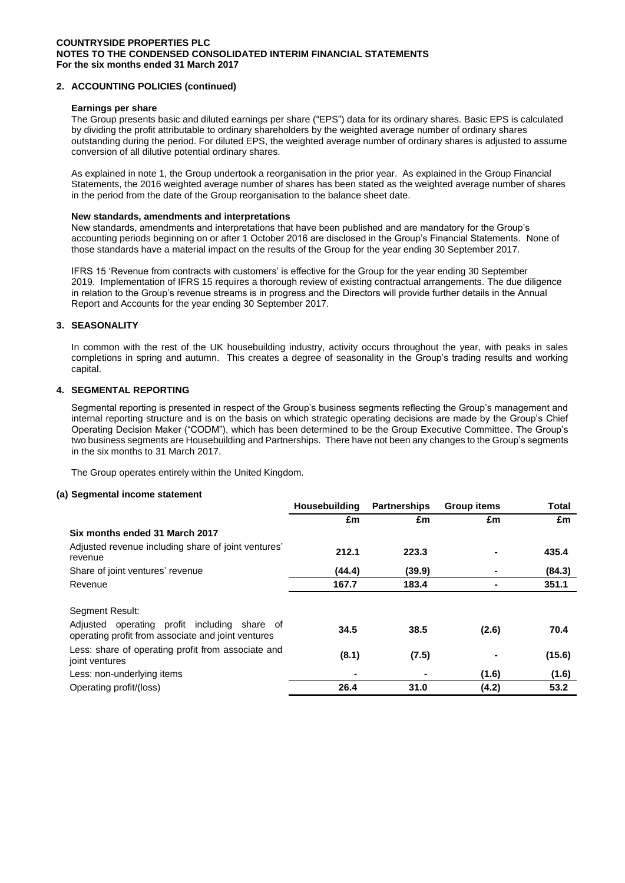## **2. ACCOUNTING POLICIES (continued)**

#### **Earnings per share**

The Group presents basic and diluted earnings per share ("EPS") data for its ordinary shares. Basic EPS is calculated by dividing the profit attributable to ordinary shareholders by the weighted average number of ordinary shares outstanding during the period. For diluted EPS, the weighted average number of ordinary shares is adjusted to assume conversion of all dilutive potential ordinary shares.

As explained in note 1, the Group undertook a reorganisation in the prior year. As explained in the Group Financial Statements, the 2016 weighted average number of shares has been stated as the weighted average number of shares in the period from the date of the Group reorganisation to the balance sheet date.

#### **New standards, amendments and interpretations**

New standards, amendments and interpretations that have been published and are mandatory for the Group's accounting periods beginning on or after 1 October 2016 are disclosed in the Group's Financial Statements. None of those standards have a material impact on the results of the Group for the year ending 30 September 2017.

IFRS 15 'Revenue from contracts with customers' is effective for the Group for the year ending 30 September 2019. Implementation of IFRS 15 requires a thorough review of existing contractual arrangements. The due diligence in relation to the Group's revenue streams is in progress and the Directors will provide further details in the Annual Report and Accounts for the year ending 30 September 2017.

#### **3. SEASONALITY**

In common with the rest of the UK housebuilding industry, activity occurs throughout the year, with peaks in sales completions in spring and autumn. This creates a degree of seasonality in the Group's trading results and working capital.

## **4. SEGMENTAL REPORTING**

Segmental reporting is presented in respect of the Group's business segments reflecting the Group's management and internal reporting structure and is on the basis on which strategic operating decisions are made by the Group's Chief Operating Decision Maker ("CODM"), which has been determined to be the Group Executive Committee. The Group's two business segments are Housebuilding and Partnerships. There have not been any changes to the Group's segments in the six months to 31 March 2017.

The Group operates entirely within the United Kingdom.

#### **(a) Segmental income statement**

|                                                                                                    | <b>Housebuilding</b> | <b>Partnerships</b> | <b>Group items</b> | Total  |
|----------------------------------------------------------------------------------------------------|----------------------|---------------------|--------------------|--------|
|                                                                                                    | £m                   | £m                  | £m                 | £m     |
| Six months ended 31 March 2017                                                                     |                      |                     |                    |        |
| Adjusted revenue including share of joint ventures'<br>revenue                                     | 212.1                | 223.3               |                    | 435.4  |
| Share of joint ventures' revenue                                                                   | (44.4)               | (39.9)              |                    | (84.3) |
| Revenue                                                                                            | 167.7                | 183.4               |                    | 351.1  |
|                                                                                                    |                      |                     |                    |        |
| Segment Result:                                                                                    |                      |                     |                    |        |
| Adjusted operating profit including share of<br>operating profit from associate and joint ventures | 34.5                 | 38.5                | (2.6)              | 70.4   |
| Less: share of operating profit from associate and<br>joint ventures                               | (8.1)                | (7.5)               |                    | (15.6) |
| Less: non-underlying items                                                                         |                      | ۰                   | (1.6)              | (1.6)  |
| Operating profit/(loss)                                                                            | 26.4                 | 31.0                | (4.2)              | 53.2   |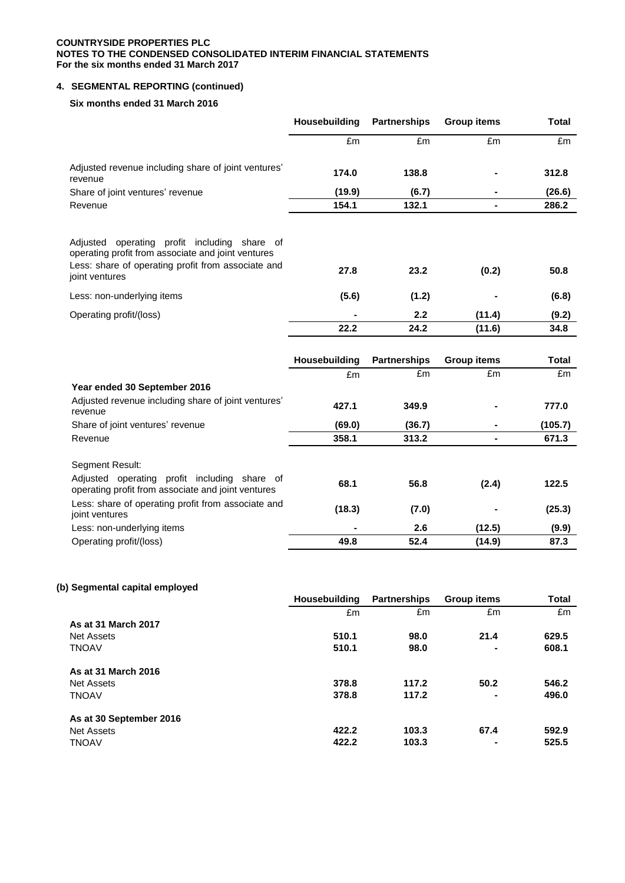## **4. SEGMENTAL REPORTING (continued)**

## **Six months ended 31 March 2016**

|                                                                                                                                                                               | Housebuilding | <b>Partnerships</b> | <b>Group items</b> | <b>Total</b> |
|-------------------------------------------------------------------------------------------------------------------------------------------------------------------------------|---------------|---------------------|--------------------|--------------|
|                                                                                                                                                                               | £m            | £m                  | £m                 | Em           |
| Adjusted revenue including share of joint ventures'<br>revenue                                                                                                                | 174.0         | 138.8               |                    | 312.8        |
| Share of joint ventures' revenue                                                                                                                                              | (19.9)        | (6.7)               |                    | (26.6)       |
| Revenue                                                                                                                                                                       | 154.1         | 132.1               |                    | 286.2        |
| Adjusted operating profit including<br>share of<br>operating profit from associate and joint ventures<br>Less: share of operating profit from associate and<br>joint ventures | 27.8          | 23.2                | (0.2)              | 50.8         |
| Less: non-underlying items                                                                                                                                                    | (5.6)         | (1.2)               |                    | (6.8)        |
| Operating profit/(loss)                                                                                                                                                       |               | 2.2                 | (11.4)             | (9.2)        |
|                                                                                                                                                                               | 22.2          | 24.2                | (11.6)             | 34.8         |
|                                                                                                                                                                               |               |                     |                    |              |
|                                                                                                                                                                               | Housebuilding | <b>Partnerships</b> | <b>Group items</b> | <b>Total</b> |
|                                                                                                                                                                               | £m            | £m                  | £m                 | £m           |
| Year ended 30 September 2016                                                                                                                                                  |               |                     |                    |              |
| Adjusted revenue including share of joint ventures'<br>revenue                                                                                                                | 427.1         | 349.9               |                    | 777.0        |
| Share of joint ventures' revenue                                                                                                                                              | (69.0)        | (36.7)              |                    | (105.7)      |
| Revenue                                                                                                                                                                       | 358.1         | 313.2               |                    | 671.3        |
| Segment Result:                                                                                                                                                               |               |                     |                    |              |
| Adjusted operating profit including share of<br>operating profit from associate and joint ventures                                                                            | 68.1          | 56.8                | (2.4)              | 122.5        |
| Less: share of operating profit from associate and<br>joint ventures                                                                                                          | (18.3)        | (7.0)               |                    | (25.3)       |
| Less: non-underlying items                                                                                                                                                    |               | 2.6                 | (12.5)             | (9.9)        |
| Operating profit/(loss)                                                                                                                                                       | 49.8          | 52.4                | (14.9)             | 87.3         |

## **(b) Segmental capital employed**

|                         | <b>Housebuilding</b> | <b>Partnerships</b> | <b>Group items</b> | Total |
|-------------------------|----------------------|---------------------|--------------------|-------|
|                         | £m                   | £m                  | £m                 | £m    |
| As at 31 March 2017     |                      |                     |                    |       |
| Net Assets              | 510.1                | 98.0                | 21.4               | 629.5 |
| <b>TNOAV</b>            | 510.1                | 98.0                |                    | 608.1 |
| As at 31 March 2016     |                      |                     |                    |       |
| <b>Net Assets</b>       | 378.8                | 117.2               | 50.2               | 546.2 |
| <b>TNOAV</b>            | 378.8                | 117.2               |                    | 496.0 |
| As at 30 September 2016 |                      |                     |                    |       |
| <b>Net Assets</b>       | 422.2                | 103.3               | 67.4               | 592.9 |
| <b>TNOAV</b>            | 422.2                | 103.3               |                    | 525.5 |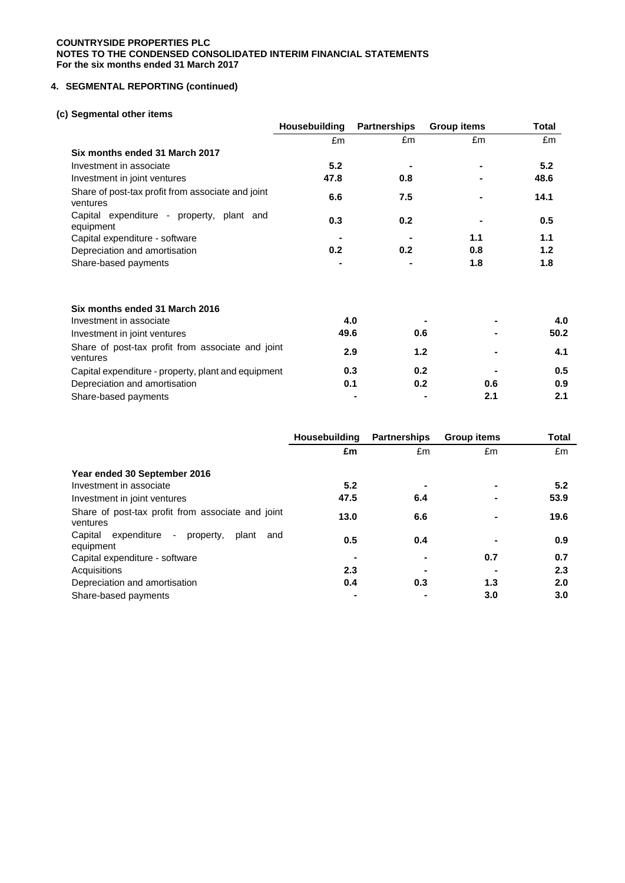## **4. SEGMENTAL REPORTING (continued)**

## **(c) Segmental other items**

|                                                               | <b>Housebuilding</b> | <b>Partnerships</b> | <b>Group items</b> | <b>Total</b> |
|---------------------------------------------------------------|----------------------|---------------------|--------------------|--------------|
|                                                               | £m                   | £m                  | £m                 | £m           |
| Six months ended 31 March 2017                                |                      |                     |                    |              |
| Investment in associate                                       | 5.2                  |                     |                    | 5.2          |
| Investment in joint ventures                                  | 47.8                 | 0.8                 |                    | 48.6         |
| Share of post-tax profit from associate and joint<br>ventures | 6.6                  | 7.5                 |                    | 14.1         |
| Capital expenditure - property, plant and<br>equipment        | 0.3                  | 0.2                 |                    | 0.5          |
| Capital expenditure - software                                |                      |                     | 1.1                | 1.1          |
| Depreciation and amortisation                                 | 0.2                  | 0.2                 | 0.8                | 1.2          |
| Share-based payments                                          |                      |                     | 1.8                | 1.8          |
| Six months ended 31 March 2016                                |                      |                     |                    |              |
| Investment in associate                                       | 4.0                  |                     |                    | 4.0          |
| Investment in joint ventures                                  | 49.6                 | 0.6                 |                    | 50.2         |
| Share of post-tax profit from associate and joint<br>ventures | 2.9                  | 1.2                 |                    | 4.1          |
| Capital expenditure - property, plant and equipment           | 0.3                  | 0.2                 |                    | 0.5          |

|                                                                                              | <b>Housebuilding</b> | <b>Partnerships</b> | <b>Group items</b> | <b>Total</b> |
|----------------------------------------------------------------------------------------------|----------------------|---------------------|--------------------|--------------|
|                                                                                              | £m                   | £m                  | £m                 | £m           |
| Year ended 30 September 2016                                                                 |                      |                     |                    |              |
| Investment in associate                                                                      | 5.2                  | $\blacksquare$      | $\blacksquare$     | 5.2          |
| Investment in joint ventures                                                                 | 47.5                 | 6.4                 |                    | 53.9         |
| Share of post-tax profit from associate and joint<br>ventures                                | 13.0                 | 6.6                 |                    | 19.6         |
| Capital<br>expenditure<br>property.<br>plant<br>and<br>$\overline{\phantom{a}}$<br>equipment | 0.5                  | 0.4                 |                    | 0.9          |
| Capital expenditure - software                                                               |                      | $\blacksquare$      | 0.7                | 0.7          |
| Acquisitions                                                                                 | 2.3                  | $\blacksquare$      |                    | 2.3          |
| Depreciation and amortisation                                                                | 0.4                  | 0.3                 | 1.3                | 2.0          |
| Share-based payments                                                                         |                      |                     | 3.0                | 3.0          |

Depreciation and amortisation **0.1 0.2 0.6 0.9**

Share-based payments **- - 2.1 2.1**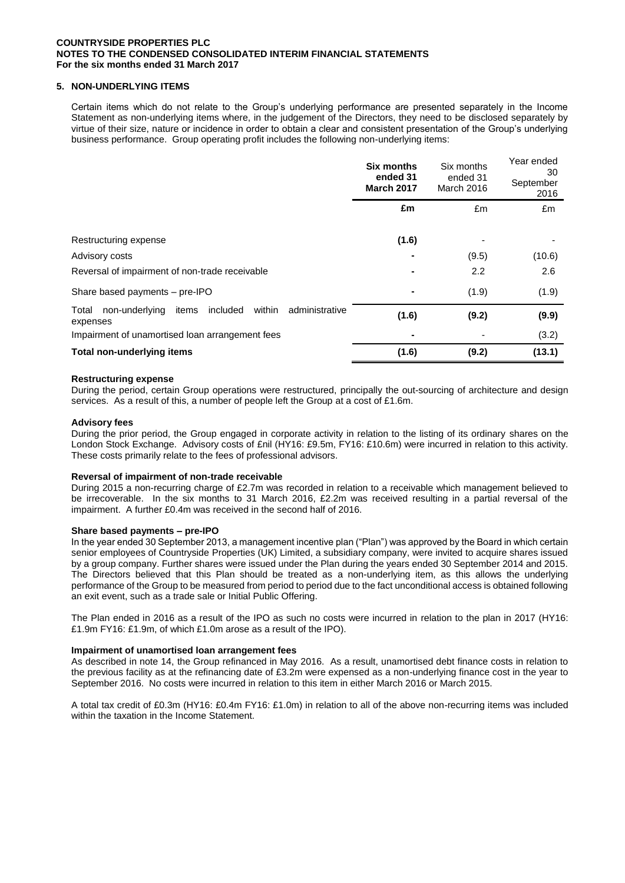## **5. NON-UNDERLYING ITEMS**

Certain items which do not relate to the Group's underlying performance are presented separately in the Income Statement as non-underlying items where, in the judgement of the Directors, they need to be disclosed separately by virtue of their size, nature or incidence in order to obtain a clear and consistent presentation of the Group's underlying business performance. Group operating profit includes the following non-underlying items:

|                                                                                      | <b>Six months</b><br>ended 31<br><b>March 2017</b> | Six months<br>ended 31<br>March 2016 | Year ended<br>30<br>September<br>2016 |
|--------------------------------------------------------------------------------------|----------------------------------------------------|--------------------------------------|---------------------------------------|
|                                                                                      | £m                                                 | £m                                   | £m                                    |
| Restructuring expense                                                                | (1.6)                                              |                                      |                                       |
| Advisory costs                                                                       |                                                    | (9.5)                                | (10.6)                                |
| Reversal of impairment of non-trade receivable                                       |                                                    | 2.2                                  | 2.6                                   |
| Share based payments - pre-IPO                                                       |                                                    | (1.9)                                | (1.9)                                 |
| administrative<br>non-underlying<br>included<br>within<br>items<br>Total<br>expenses | (1.6)                                              | (9.2)                                | (9.9)                                 |
| Impairment of unamortised loan arrangement fees                                      |                                                    |                                      | (3.2)                                 |
| Total non-underlying items                                                           | (1.6)                                              | (9.2)                                | (13.1)                                |

#### **Restructuring expense**

During the period, certain Group operations were restructured, principally the out-sourcing of architecture and design services. As a result of this, a number of people left the Group at a cost of £1.6m.

#### **Advisory fees**

During the prior period, the Group engaged in corporate activity in relation to the listing of its ordinary shares on the London Stock Exchange. Advisory costs of £nil (HY16: £9.5m, FY16: £10.6m) were incurred in relation to this activity. These costs primarily relate to the fees of professional advisors.

#### **Reversal of impairment of non-trade receivable**

During 2015 a non-recurring charge of £2.7m was recorded in relation to a receivable which management believed to be irrecoverable. In the six months to 31 March 2016, £2.2m was received resulting in a partial reversal of the impairment. A further £0.4m was received in the second half of 2016.

#### **Share based payments – pre-IPO**

In the year ended 30 September 2013, a management incentive plan ("Plan") was approved by the Board in which certain senior employees of Countryside Properties (UK) Limited, a subsidiary company, were invited to acquire shares issued by a group company. Further shares were issued under the Plan during the years ended 30 September 2014 and 2015. The Directors believed that this Plan should be treated as a non-underlying item, as this allows the underlying performance of the Group to be measured from period to period due to the fact unconditional access is obtained following an exit event, such as a trade sale or Initial Public Offering.

The Plan ended in 2016 as a result of the IPO as such no costs were incurred in relation to the plan in 2017 (HY16: £1.9m FY16: £1.9m, of which £1.0m arose as a result of the IPO).

#### **Impairment of unamortised loan arrangement fees**

As described in note 14, the Group refinanced in May 2016. As a result, unamortised debt finance costs in relation to the previous facility as at the refinancing date of £3.2m were expensed as a non-underlying finance cost in the year to September 2016. No costs were incurred in relation to this item in either March 2016 or March 2015.

A total tax credit of £0.3m (HY16: £0.4m FY16: £1.0m) in relation to all of the above non-recurring items was included within the taxation in the Income Statement.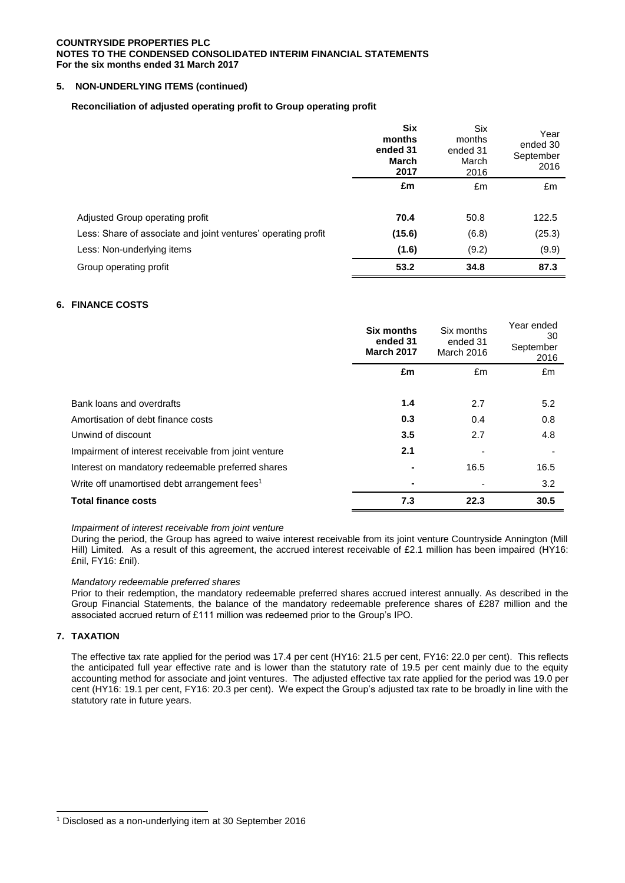## **5. NON-UNDERLYING ITEMS (continued)**

## **Reconciliation of adjusted operating profit to Group operating profit**

|                                                               | <b>Six</b><br>months<br>ended 31<br>March<br>2017 | <b>Six</b><br>months<br>ended 31<br>March<br>2016 | Year<br>ended 30<br>September<br>2016 |
|---------------------------------------------------------------|---------------------------------------------------|---------------------------------------------------|---------------------------------------|
|                                                               | £m                                                | £m                                                | £m                                    |
| Adjusted Group operating profit                               | 70.4                                              | 50.8                                              | 122.5                                 |
| Less: Share of associate and joint ventures' operating profit | (15.6)                                            | (6.8)                                             | (25.3)                                |
| Less: Non-underlying items                                    | (1.6)                                             | (9.2)                                             | (9.9)                                 |
| Group operating profit                                        | 53.2                                              | 34.8                                              | 87.3                                  |

## **6. FINANCE COSTS**

|                                                          | <b>Six months</b><br>ended 31<br><b>March 2017</b> | Six months<br>ended 31<br>March 2016 | Year ended<br>30<br>September<br>2016 |
|----------------------------------------------------------|----------------------------------------------------|--------------------------------------|---------------------------------------|
|                                                          | £m                                                 | £m                                   | £m                                    |
| Bank loans and overdrafts                                | 1.4                                                | 2.7                                  | 5.2                                   |
| Amortisation of debt finance costs                       | 0.3                                                | 0.4                                  | 0.8                                   |
| Unwind of discount                                       | 3.5                                                | 2.7                                  | 4.8                                   |
| Impairment of interest receivable from joint venture     | 2.1                                                |                                      |                                       |
| Interest on mandatory redeemable preferred shares        |                                                    | 16.5                                 | 16.5                                  |
| Write off unamortised debt arrangement fees <sup>1</sup> |                                                    |                                      | 3.2                                   |
| <b>Total finance costs</b>                               | 7.3                                                | 22.3                                 | 30.5                                  |

#### *Impairment of interest receivable from joint venture*

During the period, the Group has agreed to waive interest receivable from its joint venture Countryside Annington (Mill Hill) Limited. As a result of this agreement, the accrued interest receivable of £2.1 million has been impaired (HY16: £nil, FY16: £nil).

#### *Mandatory redeemable preferred shares*

Prior to their redemption, the mandatory redeemable preferred shares accrued interest annually. As described in the Group Financial Statements, the balance of the mandatory redeemable preference shares of £287 million and the associated accrued return of £111 million was redeemed prior to the Group's IPO.

## **7. TAXATION**

l

The effective tax rate applied for the period was 17.4 per cent (HY16: 21.5 per cent, FY16: 22.0 per cent). This reflects the anticipated full year effective rate and is lower than the statutory rate of 19.5 per cent mainly due to the equity accounting method for associate and joint ventures. The adjusted effective tax rate applied for the period was 19.0 per cent (HY16: 19.1 per cent, FY16: 20.3 per cent). We expect the Group's adjusted tax rate to be broadly in line with the statutory rate in future years.

<sup>1</sup> Disclosed as a non-underlying item at 30 September 2016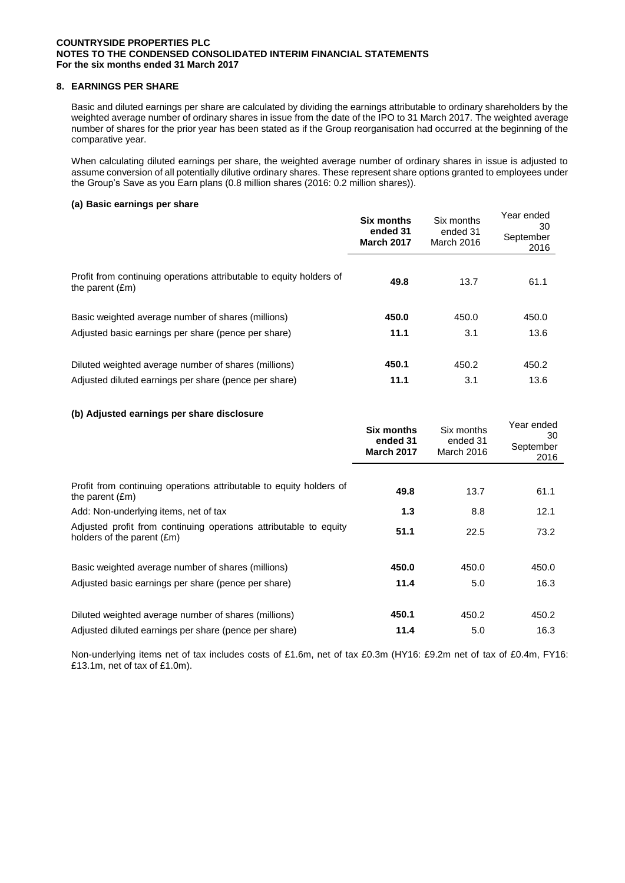## **8. EARNINGS PER SHARE**

Basic and diluted earnings per share are calculated by dividing the earnings attributable to ordinary shareholders by the weighted average number of ordinary shares in issue from the date of the IPO to 31 March 2017. The weighted average number of shares for the prior year has been stated as if the Group reorganisation had occurred at the beginning of the comparative year.

When calculating diluted earnings per share, the weighted average number of ordinary shares in issue is adjusted to assume conversion of all potentially dilutive ordinary shares. These represent share options granted to employees under the Group's Save as you Earn plans (0.8 million shares (2016: 0.2 million shares)).

## **(a) Basic earnings per share**

|                                                                                                 | <b>Six months</b><br>ended 31<br><b>March 2017</b> | Six months<br>ended 31<br>March 2016 | Year ended<br>30<br>September<br>2016 |
|-------------------------------------------------------------------------------------------------|----------------------------------------------------|--------------------------------------|---------------------------------------|
| Profit from continuing operations attributable to equity holders of<br>the parent $(\text{Em})$ | 49.8                                               | 13.7                                 | 61.1                                  |
| Basic weighted average number of shares (millions)                                              | 450.0                                              | 450.0                                | 450.0                                 |
| Adjusted basic earnings per share (pence per share)                                             | 11.1                                               | 3.1                                  | 13.6                                  |
| Diluted weighted average number of shares (millions)                                            | 450.1                                              | 450.2                                | 450.2                                 |
| Adjusted diluted earnings per share (pence per share)                                           | 11.1                                               | 3.1                                  | 13.6                                  |

#### **(b) Adjusted earnings per share disclosure**

|                                                                                                 | <b>Six months</b><br>ended 31<br><b>March 2017</b> | Six months<br>ended 31<br>March 2016 | Year ended<br>30<br>September<br>2016 |
|-------------------------------------------------------------------------------------------------|----------------------------------------------------|--------------------------------------|---------------------------------------|
|                                                                                                 |                                                    |                                      |                                       |
| Profit from continuing operations attributable to equity holders of<br>the parent $(\text{Em})$ | 49.8                                               | 13.7                                 | 61.1                                  |
| Add: Non-underlying items, net of tax                                                           | 1.3                                                | 8.8                                  | 12.1                                  |
| Adjusted profit from continuing operations attributable to equity<br>holders of the parent (£m) | 51.1                                               | 22.5                                 | 73.2                                  |
| Basic weighted average number of shares (millions)                                              | 450.0                                              | 450.0                                | 450.0                                 |
| Adjusted basic earnings per share (pence per share)                                             | 11.4                                               | 5.0                                  | 16.3                                  |
| Diluted weighted average number of shares (millions)                                            | 450.1                                              | 450.2                                | 450.2                                 |
| Adjusted diluted earnings per share (pence per share)                                           | 11.4                                               | 5.0                                  | 16.3                                  |

Non-underlying items net of tax includes costs of £1.6m, net of tax £0.3m (HY16: £9.2m net of tax of £0.4m, FY16: £13.1m, net of tax of £1.0m).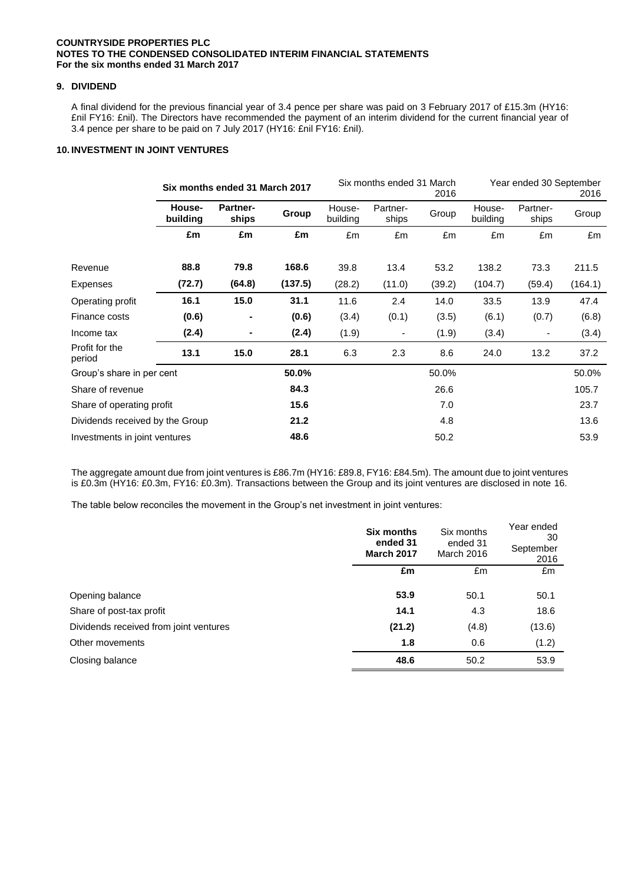## **9. DIVIDEND**

A final dividend for the previous financial year of 3.4 pence per share was paid on 3 February 2017 of £15.3m (HY16: £nil FY16: £nil). The Directors have recommended the payment of an interim dividend for the current financial year of 3.4 pence per share to be paid on 7 July 2017 (HY16: £nil FY16: £nil).

## **10. INVESTMENT IN JOINT VENTURES**

|                                 |                    | Six months ended 31 March 2017 |         | Six months ended 31 March<br>2016 |                   |        | Year ended 30 September | 2016              |         |
|---------------------------------|--------------------|--------------------------------|---------|-----------------------------------|-------------------|--------|-------------------------|-------------------|---------|
|                                 | House-<br>building | <b>Partner-</b><br>ships       | Group   | House-<br>building                | Partner-<br>ships | Group  | House-<br>building      | Partner-<br>ships | Group   |
|                                 | £m                 | £m                             | £m      | £m                                | £m                | £m     | £m                      | £m                | £m      |
| Revenue                         | 88.8               | 79.8                           | 168.6   | 39.8                              | 13.4              | 53.2   | 138.2                   | 73.3              | 211.5   |
| Expenses                        | (72.7)             | (64.8)                         | (137.5) | (28.2)                            | (11.0)            | (39.2) | (104.7)                 | (59.4)            | (164.1) |
| Operating profit                | 16.1               | 15.0                           | 31.1    | 11.6                              | 2.4               | 14.0   | 33.5                    | 13.9              | 47.4    |
| Finance costs                   | (0.6)              | -                              | (0.6)   | (3.4)                             | (0.1)             | (3.5)  | (6.1)                   | (0.7)             | (6.8)   |
| Income tax                      | (2.4)              |                                | (2.4)   | (1.9)                             |                   | (1.9)  | (3.4)                   |                   | (3.4)   |
| Profit for the<br>period        | 13.1               | 15.0                           | 28.1    | 6.3                               | 2.3               | 8.6    | 24.0                    | 13.2              | 37.2    |
| Group's share in per cent       |                    |                                | 50.0%   |                                   |                   | 50.0%  |                         |                   | 50.0%   |
| Share of revenue                |                    |                                | 84.3    |                                   |                   | 26.6   |                         |                   | 105.7   |
| Share of operating profit       |                    |                                | 15.6    |                                   |                   | 7.0    |                         |                   | 23.7    |
| Dividends received by the Group |                    |                                | 21.2    |                                   |                   | 4.8    |                         |                   | 13.6    |
| Investments in joint ventures   |                    |                                | 48.6    |                                   |                   | 50.2   |                         |                   | 53.9    |

The aggregate amount due from joint ventures is £86.7m (HY16: £89.8, FY16: £84.5m). The amount due to joint ventures is £0.3m (HY16: £0.3m, FY16: £0.3m). Transactions between the Group and its joint ventures are disclosed in note 16.

The table below reconciles the movement in the Group's net investment in joint ventures:

|                                        | <b>Six months</b><br>ended 31<br><b>March 2017</b> | Six months<br>ended 31<br>March 2016 | Year ended<br>30<br>September<br>2016 |
|----------------------------------------|----------------------------------------------------|--------------------------------------|---------------------------------------|
|                                        | £m                                                 | £m                                   | £m                                    |
| Opening balance                        | 53.9                                               | 50.1                                 | 50.1                                  |
| Share of post-tax profit               | 14.1                                               | 4.3                                  | 18.6                                  |
| Dividends received from joint ventures | (21.2)                                             | (4.8)                                | (13.6)                                |
| Other movements                        | 1.8                                                | 0.6                                  | (1.2)                                 |
| Closing balance                        | 48.6                                               | 50.2                                 | 53.9                                  |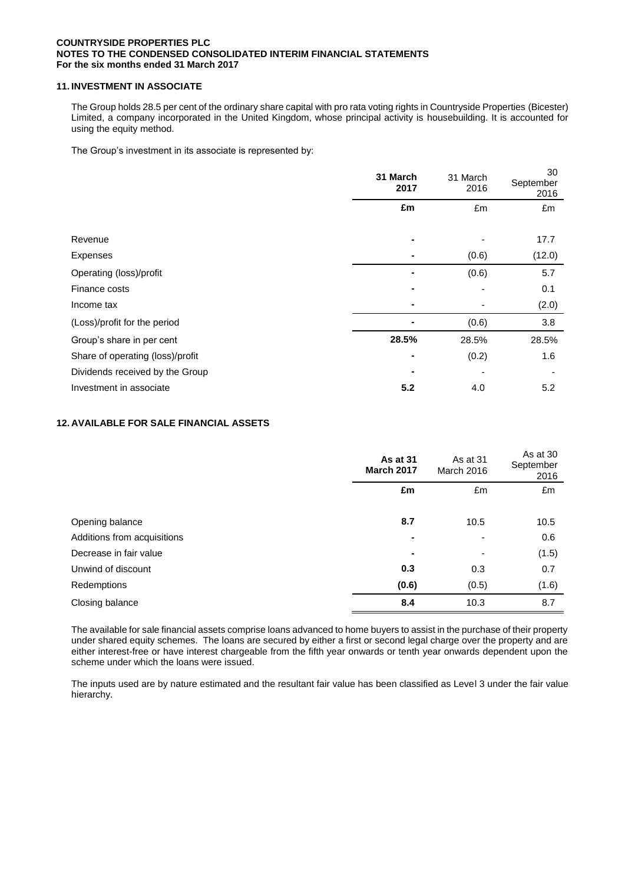## **11. INVESTMENT IN ASSOCIATE**

The Group holds 28.5 per cent of the ordinary share capital with pro rata voting rights in Countryside Properties (Bicester) Limited, a company incorporated in the United Kingdom, whose principal activity is housebuilding. It is accounted for using the equity method.

The Group's investment in its associate is represented by:

|                                  | 31 March<br>2017 | 31 March<br>2016 | 30<br>September<br>2016 |
|----------------------------------|------------------|------------------|-------------------------|
|                                  | £m               | £m               | £m                      |
| Revenue                          |                  |                  | 17.7                    |
| Expenses                         |                  | (0.6)            | (12.0)                  |
| Operating (loss)/profit          |                  | (0.6)            | 5.7                     |
| Finance costs                    |                  | ٠                | 0.1                     |
| Income tax                       |                  |                  | (2.0)                   |
| (Loss)/profit for the period     |                  | (0.6)            | 3.8                     |
| Group's share in per cent        | 28.5%            | 28.5%            | 28.5%                   |
| Share of operating (loss)/profit |                  | (0.2)            | 1.6                     |
| Dividends received by the Group  |                  | ٠                |                         |
| Investment in associate          | 5.2              | 4.0              | 5.2                     |

# **12. AVAILABLE FOR SALE FINANCIAL ASSETS**

|                             | As at 31<br><b>March 2017</b> | As at 31<br>March 2016   | As at 30<br>September<br>2016 |
|-----------------------------|-------------------------------|--------------------------|-------------------------------|
|                             | £m                            | £m                       | £m                            |
| Opening balance             | 8.7                           | 10.5                     | 10.5                          |
| Additions from acquisitions | $\blacksquare$                | $\overline{\phantom{0}}$ | 0.6                           |
| Decrease in fair value      | ۰                             | $\overline{\phantom{a}}$ | (1.5)                         |
| Unwind of discount          | 0.3                           | 0.3                      | 0.7                           |
| Redemptions                 | (0.6)                         | (0.5)                    | (1.6)                         |
| Closing balance             | 8.4                           | 10.3                     | 8.7                           |

The available for sale financial assets comprise loans advanced to home buyers to assist in the purchase of their property under shared equity schemes. The loans are secured by either a first or second legal charge over the property and are either interest-free or have interest chargeable from the fifth year onwards or tenth year onwards dependent upon the scheme under which the loans were issued.

The inputs used are by nature estimated and the resultant fair value has been classified as Level 3 under the fair value hierarchy.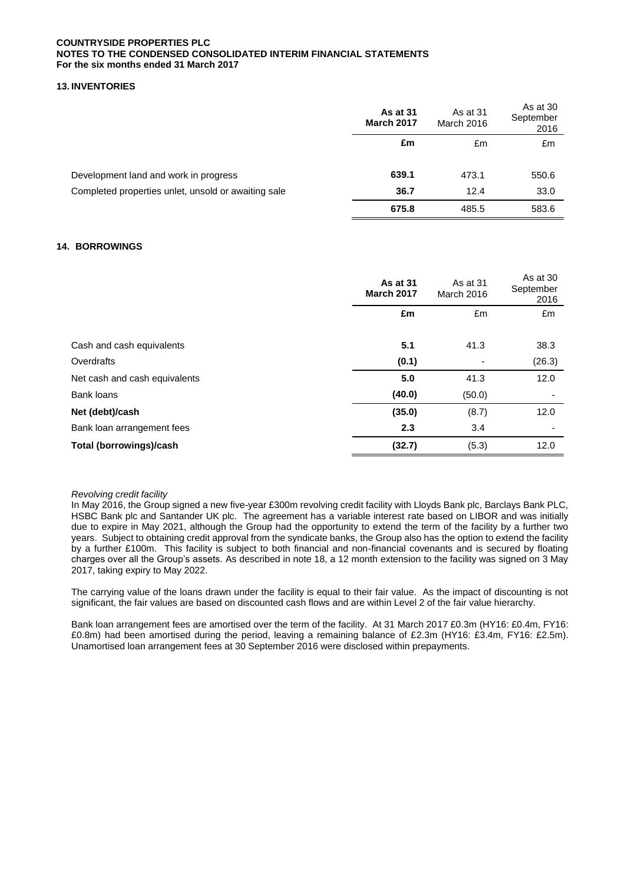# **13. INVENTORIES**

|                                                     | As at 31<br><b>March 2017</b> | As at 31<br>March 2016 | As at 30<br>September<br>2016 |
|-----------------------------------------------------|-------------------------------|------------------------|-------------------------------|
|                                                     | £m                            | £m                     | £m                            |
| Development land and work in progress               | 639.1                         | 473.1                  | 550.6                         |
| Completed properties unlet, unsold or awaiting sale | 36.7                          | 12.4                   | 33.0                          |
|                                                     | 675.8                         | 485.5                  | 583.6                         |

## **14. BORROWINGS**

|                               | As at 31<br><b>March 2017</b> | As at 31<br>March 2016 | As at $30$<br>September<br>2016 |
|-------------------------------|-------------------------------|------------------------|---------------------------------|
|                               | £m                            | £m                     | £m                              |
|                               | 5.1                           |                        |                                 |
| Cash and cash equivalents     |                               | 41.3                   | 38.3                            |
| Overdrafts                    | (0.1)                         |                        | (26.3)                          |
| Net cash and cash equivalents | 5.0                           | 41.3                   | 12.0                            |
| <b>Bank loans</b>             | (40.0)                        | (50.0)                 |                                 |
| Net (debt)/cash               | (35.0)                        | (8.7)                  | 12.0                            |
| Bank loan arrangement fees    | 2.3                           | 3.4                    |                                 |
| Total (borrowings)/cash       | (32.7)                        | (5.3)                  | 12.0                            |

#### *Revolving credit facility*

In May 2016, the Group signed a new five-year £300m revolving credit facility with Lloyds Bank plc, Barclays Bank PLC, HSBC Bank plc and Santander UK plc. The agreement has a variable interest rate based on LIBOR and was initially due to expire in May 2021, although the Group had the opportunity to extend the term of the facility by a further two years. Subject to obtaining credit approval from the syndicate banks, the Group also has the option to extend the facility by a further £100m. This facility is subject to both financial and non-financial covenants and is secured by floating charges over all the Group's assets. As described in note 18, a 12 month extension to the facility was signed on 3 May 2017, taking expiry to May 2022.

The carrying value of the loans drawn under the facility is equal to their fair value. As the impact of discounting is not significant, the fair values are based on discounted cash flows and are within Level 2 of the fair value hierarchy.

Bank loan arrangement fees are amortised over the term of the facility. At 31 March 2017 £0.3m (HY16: £0.4m, FY16: £0.8m) had been amortised during the period, leaving a remaining balance of £2.3m (HY16: £3.4m, FY16: £2.5m). Unamortised loan arrangement fees at 30 September 2016 were disclosed within prepayments.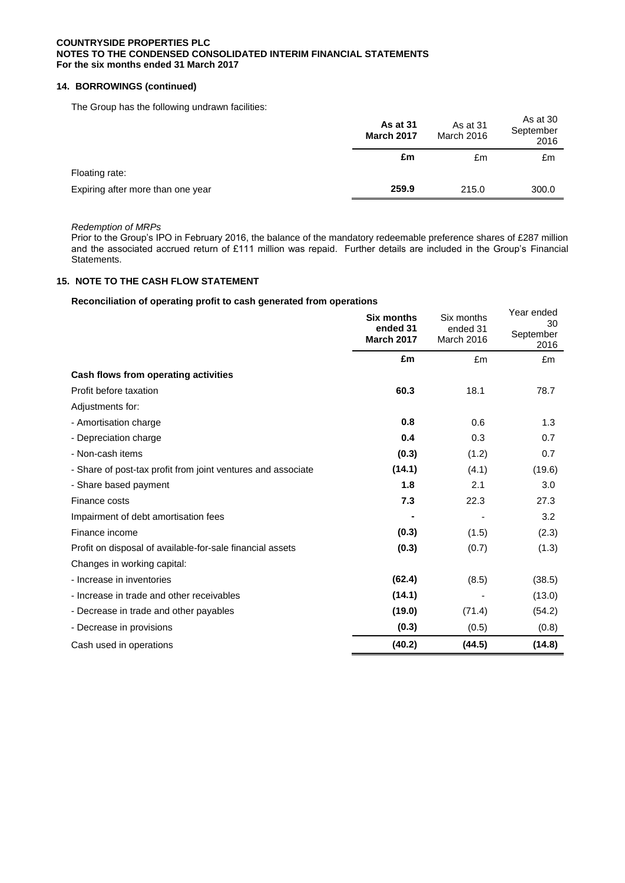## **14. BORROWINGS (continued)**

The Group has the following undrawn facilities:

|                                   | <b>As at 31</b><br><b>March 2017</b> | As at 31<br>March 2016 | As at 30<br>September<br>2016 |
|-----------------------------------|--------------------------------------|------------------------|-------------------------------|
|                                   | £m                                   | £m                     | £m                            |
| Floating rate:                    |                                      |                        |                               |
| Expiring after more than one year | 259.9                                | 215.0                  | 300.0                         |

#### *Redemption of MRPs*

Prior to the Group's IPO in February 2016, the balance of the mandatory redeemable preference shares of £287 million and the associated accrued return of £111 million was repaid. Further details are included in the Group's Financial Statements.

## **15. NOTE TO THE CASH FLOW STATEMENT**

## **Reconciliation of operating profit to cash generated from operations**

|                                                              | <b>Six months</b><br>ended 31<br><b>March 2017</b> | Six months<br>ended 31<br>March 2016 | Year ended<br>30<br>September<br>2016 |
|--------------------------------------------------------------|----------------------------------------------------|--------------------------------------|---------------------------------------|
|                                                              | £m                                                 | £m                                   | £m                                    |
| Cash flows from operating activities                         |                                                    |                                      |                                       |
| Profit before taxation                                       | 60.3                                               | 18.1                                 | 78.7                                  |
| Adjustments for:                                             |                                                    |                                      |                                       |
| - Amortisation charge                                        | 0.8                                                | 0.6                                  | 1.3                                   |
| - Depreciation charge                                        | 0.4                                                | 0.3                                  | 0.7                                   |
| - Non-cash items                                             | (0.3)                                              | (1.2)                                | 0.7                                   |
| - Share of post-tax profit from joint ventures and associate | (14.1)                                             | (4.1)                                | (19.6)                                |
| - Share based payment                                        | 1.8                                                | 2.1                                  | 3.0                                   |
| Finance costs                                                | 7.3                                                | 22.3                                 | 27.3                                  |
| Impairment of debt amortisation fees                         |                                                    |                                      | 3.2                                   |
| Finance income                                               | (0.3)                                              | (1.5)                                | (2.3)                                 |
| Profit on disposal of available-for-sale financial assets    | (0.3)                                              | (0.7)                                | (1.3)                                 |
| Changes in working capital:                                  |                                                    |                                      |                                       |
| - Increase in inventories                                    | (62.4)                                             | (8.5)                                | (38.5)                                |
| - Increase in trade and other receivables                    | (14.1)                                             |                                      | (13.0)                                |
| - Decrease in trade and other payables                       | (19.0)                                             | (71.4)                               | (54.2)                                |
| - Decrease in provisions                                     | (0.3)                                              | (0.5)                                | (0.8)                                 |
| Cash used in operations                                      | (40.2)                                             | (44.5)                               | (14.8)                                |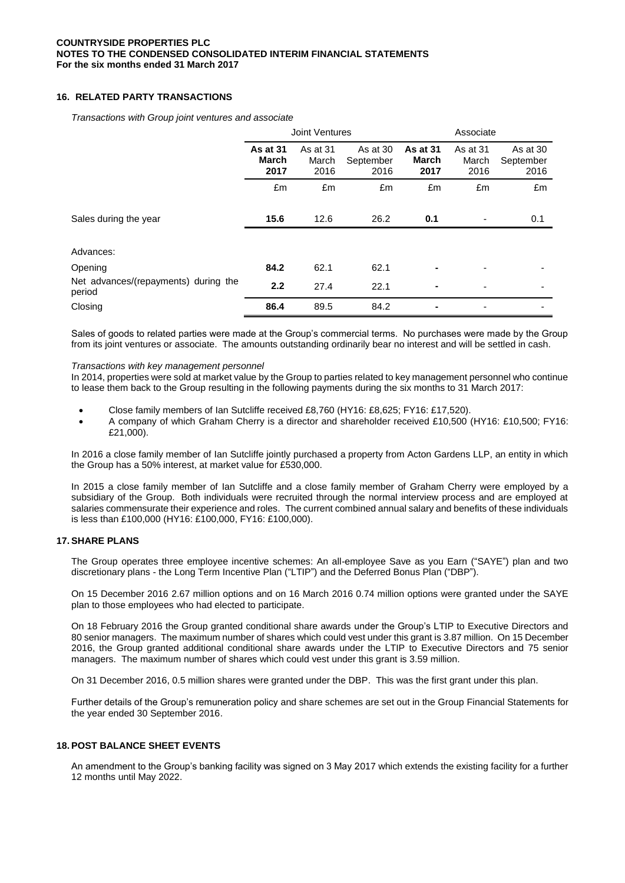## **16. RELATED PARTY TRANSACTIONS**

*Transactions with Group joint ventures and associate*

|                                                | <b>Joint Ventures</b>     |                           |                               | Associate                 |                           |                               |
|------------------------------------------------|---------------------------|---------------------------|-------------------------------|---------------------------|---------------------------|-------------------------------|
|                                                | As at 31<br>March<br>2017 | As at 31<br>March<br>2016 | As at 30<br>September<br>2016 | As at 31<br>March<br>2017 | As at 31<br>March<br>2016 | As at 30<br>September<br>2016 |
|                                                | £m                        | £m                        | £m                            | £m                        | £m                        | £m                            |
| Sales during the year                          | 15.6                      | 12.6                      | 26.2                          | 0.1                       | ۰                         | 0.1                           |
| Advances:                                      |                           |                           |                               |                           |                           |                               |
| Opening                                        | 84.2                      | 62.1                      | 62.1                          |                           | ۰                         | ۰                             |
| Net advances/(repayments) during the<br>period | 2.2                       | 27.4                      | 22.1                          |                           | ۰                         | $\overline{\phantom{0}}$      |
| Closing                                        | 86.4                      | 89.5                      | 84.2                          |                           | ٠                         |                               |

Sales of goods to related parties were made at the Group's commercial terms. No purchases were made by the Group from its joint ventures or associate. The amounts outstanding ordinarily bear no interest and will be settled in cash.

## *Transactions with key management personnel*

In 2014, properties were sold at market value by the Group to parties related to key management personnel who continue to lease them back to the Group resulting in the following payments during the six months to 31 March 2017:

- Close family members of Ian Sutcliffe received £8,760 (HY16: £8,625; FY16: £17,520).
- A company of which Graham Cherry is a director and shareholder received £10,500 (HY16: £10,500; FY16: £21,000).

In 2016 a close family member of Ian Sutcliffe jointly purchased a property from Acton Gardens LLP, an entity in which the Group has a 50% interest, at market value for £530,000.

In 2015 a close family member of Ian Sutcliffe and a close family member of Graham Cherry were employed by a subsidiary of the Group. Both individuals were recruited through the normal interview process and are employed at salaries commensurate their experience and roles. The current combined annual salary and benefits of these individuals is less than £100,000 (HY16: £100,000, FY16: £100,000).

#### **17. SHARE PLANS**

The Group operates three employee incentive schemes: An all-employee Save as you Earn ("SAYE") plan and two discretionary plans - the Long Term Incentive Plan ("LTIP") and the Deferred Bonus Plan ("DBP").

On 15 December 2016 2.67 million options and on 16 March 2016 0.74 million options were granted under the SAYE plan to those employees who had elected to participate.

On 18 February 2016 the Group granted conditional share awards under the Group's LTIP to Executive Directors and 80 senior managers. The maximum number of shares which could vest under this grant is 3.87 million. On 15 December 2016, the Group granted additional conditional share awards under the LTIP to Executive Directors and 75 senior managers. The maximum number of shares which could vest under this grant is 3.59 million.

On 31 December 2016, 0.5 million shares were granted under the DBP. This was the first grant under this plan.

Further details of the Group's remuneration policy and share schemes are set out in the Group Financial Statements for the year ended 30 September 2016.

## **18. POST BALANCE SHEET EVENTS**

An amendment to the Group's banking facility was signed on 3 May 2017 which extends the existing facility for a further 12 months until May 2022.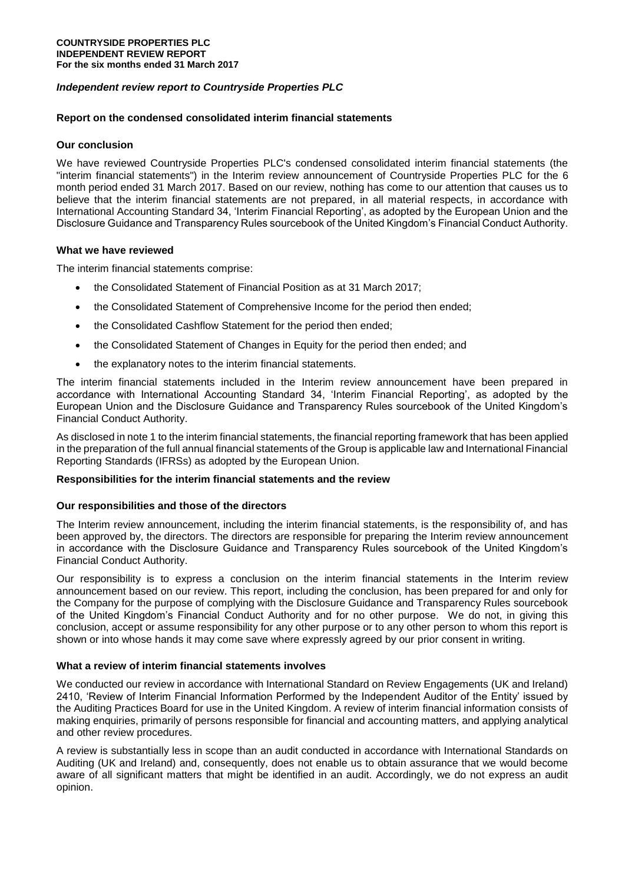## *Independent review report to Countryside Properties PLC*

## **Report on the condensed consolidated interim financial statements**

## **Our conclusion**

We have reviewed Countryside Properties PLC's condensed consolidated interim financial statements (the "interim financial statements") in the Interim review announcement of Countryside Properties PLC for the 6 month period ended 31 March 2017. Based on our review, nothing has come to our attention that causes us to believe that the interim financial statements are not prepared, in all material respects, in accordance with International Accounting Standard 34, 'Interim Financial Reporting', as adopted by the European Union and the Disclosure Guidance and Transparency Rules sourcebook of the United Kingdom's Financial Conduct Authority.

## **What we have reviewed**

The interim financial statements comprise:

- the Consolidated Statement of Financial Position as at 31 March 2017;
- the Consolidated Statement of Comprehensive Income for the period then ended;
- the Consolidated Cashflow Statement for the period then ended;
- the Consolidated Statement of Changes in Equity for the period then ended; and
- the explanatory notes to the interim financial statements.

The interim financial statements included in the Interim review announcement have been prepared in accordance with International Accounting Standard 34, 'Interim Financial Reporting', as adopted by the European Union and the Disclosure Guidance and Transparency Rules sourcebook of the United Kingdom's Financial Conduct Authority.

As disclosed in note 1 to the interim financial statements, the financial reporting framework that has been applied in the preparation of the full annual financial statements of the Group is applicable law and International Financial Reporting Standards (IFRSs) as adopted by the European Union.

## **Responsibilities for the interim financial statements and the review**

## **Our responsibilities and those of the directors**

The Interim review announcement, including the interim financial statements, is the responsibility of, and has been approved by, the directors. The directors are responsible for preparing the Interim review announcement in accordance with the Disclosure Guidance and Transparency Rules sourcebook of the United Kingdom's Financial Conduct Authority.

Our responsibility is to express a conclusion on the interim financial statements in the Interim review announcement based on our review. This report, including the conclusion, has been prepared for and only for the Company for the purpose of complying with the Disclosure Guidance and Transparency Rules sourcebook of the United Kingdom's Financial Conduct Authority and for no other purpose. We do not, in giving this conclusion, accept or assume responsibility for any other purpose or to any other person to whom this report is shown or into whose hands it may come save where expressly agreed by our prior consent in writing.

## **What a review of interim financial statements involves**

We conducted our review in accordance with International Standard on Review Engagements (UK and Ireland) 2410, 'Review of Interim Financial Information Performed by the Independent Auditor of the Entity' issued by the Auditing Practices Board for use in the United Kingdom. A review of interim financial information consists of making enquiries, primarily of persons responsible for financial and accounting matters, and applying analytical and other review procedures.

A review is substantially less in scope than an audit conducted in accordance with International Standards on Auditing (UK and Ireland) and, consequently, does not enable us to obtain assurance that we would become aware of all significant matters that might be identified in an audit. Accordingly, we do not express an audit opinion.